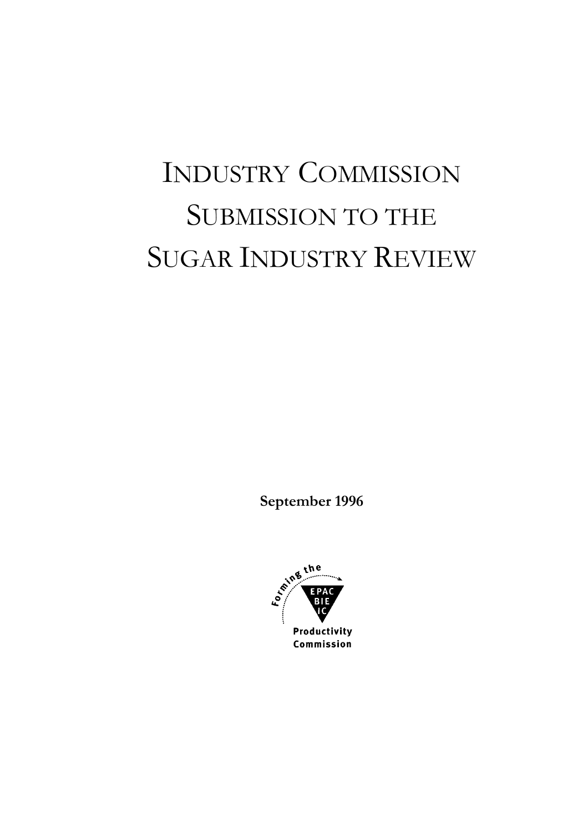# INDUSTRY COMMISSION SUBMISSION TO THE SUGAR INDUSTRY REVIEW

**September 1996** 

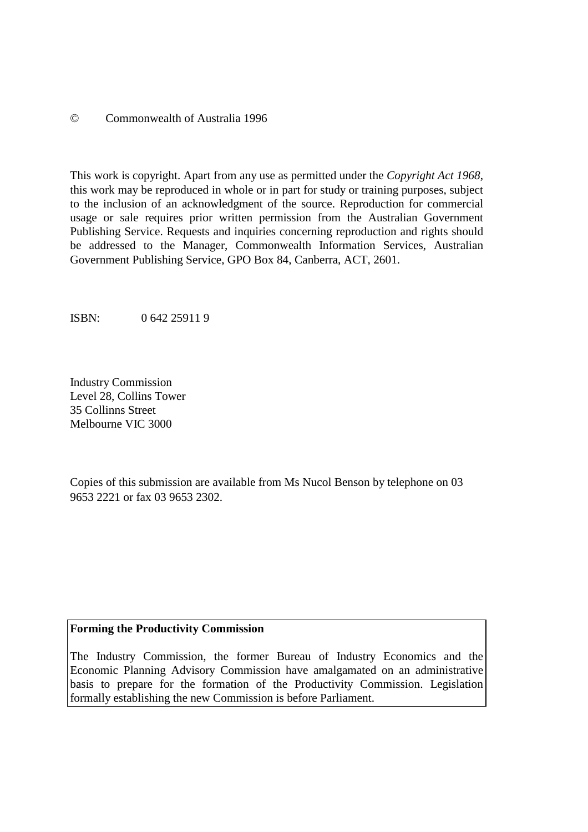#### © Commonwealth of Australia 1996

This work is copyright. Apart from any use as permitted under the *Copyright Act 1968*, this work may be reproduced in whole or in part for study or training purposes, subject to the inclusion of an acknowledgment of the source. Reproduction for commercial usage or sale requires prior written permission from the Australian Government Publishing Service. Requests and inquiries concerning reproduction and rights should be addressed to the Manager, Commonwealth Information Services, Australian Government Publishing Service, GPO Box 84, Canberra, ACT, 2601.

ISBN: 0 642 25911 9

Industry Commission Level 28, Collins Tower 35 Collinns Street Melbourne VIC 3000

Copies of this submission are available from Ms Nucol Benson by telephone on 03 9653 2221 or fax 03 9653 2302.

#### **Forming the Productivity Commission**

The Industry Commission, the former Bureau of Industry Economics and the Economic Planning Advisory Commission have amalgamated on an administrative basis to prepare for the formation of the Productivity Commission. Legislation formally establishing the new Commission is before Parliament.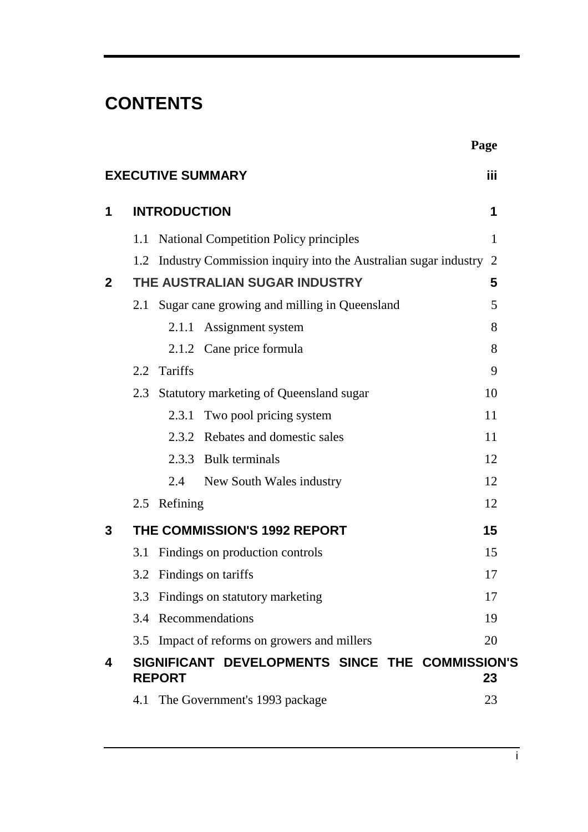# **CONTENTS**

|                |                                                                      | Page |
|----------------|----------------------------------------------------------------------|------|
|                | <b>EXECUTIVE SUMMARY</b>                                             | iii  |
| 1              | <b>INTRODUCTION</b>                                                  | 1    |
|                | <b>National Competition Policy principles</b><br>1.1                 | 1    |
|                | 1.2 Industry Commission inquiry into the Australian sugar industry 2 |      |
| $\overline{2}$ | THE AUSTRALIAN SUGAR INDUSTRY                                        | 5    |
|                | Sugar cane growing and milling in Queensland<br>2.1                  | 5    |
|                | Assignment system<br>2.1.1                                           | 8    |
|                | 2.1.2 Cane price formula                                             | 8    |
|                | 2.2 Tariffs                                                          | 9    |
|                | Statutory marketing of Queensland sugar<br>2.3                       | 10   |
|                | 2.3.1 Two pool pricing system                                        | 11   |
|                | 2.3.2 Rebates and domestic sales                                     | 11   |
|                | 2.3.3 Bulk terminals                                                 | 12   |
|                | 2.4<br>New South Wales industry                                      | 12   |
|                | 2.5 Refining                                                         | 12   |
| 3              | THE COMMISSION'S 1992 REPORT                                         | 15   |
|                | Findings on production controls<br>3.1                               | 15   |
|                | 3.2 Findings on tariffs                                              | 17   |
|                | 3.3 Findings on statutory marketing                                  | 17   |
|                | 3.4 Recommendations                                                  | 19   |
|                | 3.5 Impact of reforms on growers and millers                         | 20   |
| 4              | SIGNIFICANT DEVELOPMENTS SINCE THE COMMISSION'S<br><b>REPORT</b>     | 23   |
|                | The Government's 1993 package<br>4.1                                 | 23   |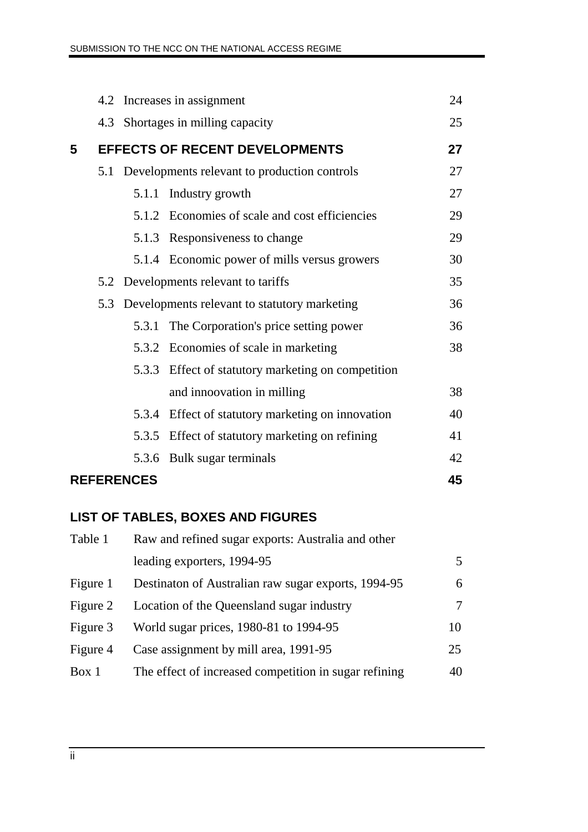|   |     | 4.2 Increases in assignment                  |                                                   |    |  |
|---|-----|----------------------------------------------|---------------------------------------------------|----|--|
|   |     | 4.3 Shortages in milling capacity            |                                                   |    |  |
| 5 |     |                                              | <b>EFFECTS OF RECENT DEVELOPMENTS</b>             | 27 |  |
|   | 5.1 | Developments relevant to production controls | 27                                                |    |  |
|   |     |                                              | 5.1.1 Industry growth                             | 27 |  |
|   |     |                                              | 5.1.2 Economies of scale and cost efficiencies    | 29 |  |
|   |     |                                              | 5.1.3 Responsiveness to change                    | 29 |  |
|   |     |                                              | 5.1.4 Economic power of mills versus growers      | 30 |  |
|   |     |                                              | 5.2 Developments relevant to tariffs              | 35 |  |
|   |     |                                              | 5.3 Developments relevant to statutory marketing  | 36 |  |
|   |     | 5.3.1                                        | The Corporation's price setting power             | 36 |  |
|   |     |                                              | 5.3.2 Economies of scale in marketing             | 38 |  |
|   |     | 5.3.3                                        | Effect of statutory marketing on competition      |    |  |
|   |     |                                              | and innoovation in milling                        | 38 |  |
|   |     |                                              | 5.3.4 Effect of statutory marketing on innovation | 40 |  |
|   |     |                                              | 5.3.5 Effect of statutory marketing on refining   | 41 |  |
|   |     | 5.3.6                                        | Bulk sugar terminals                              | 42 |  |
|   |     | <b>REFERENCES</b>                            |                                                   | 45 |  |

# **LIST OF TABLES, BOXES AND FIGURES**

| Table 1  | Raw and refined sugar exports: Australia and other    |    |  |  |
|----------|-------------------------------------------------------|----|--|--|
|          | leading exporters, 1994-95                            | 5. |  |  |
| Figure 1 | Destinaton of Australian raw sugar exports, 1994-95   | 6  |  |  |
| Figure 2 | Location of the Queensland sugar industry             | 7  |  |  |
| Figure 3 | World sugar prices, 1980-81 to 1994-95                | 10 |  |  |
| Figure 4 | Case assignment by mill area, 1991-95                 | 25 |  |  |
| Box 1    | The effect of increased competition in sugar refining | 40 |  |  |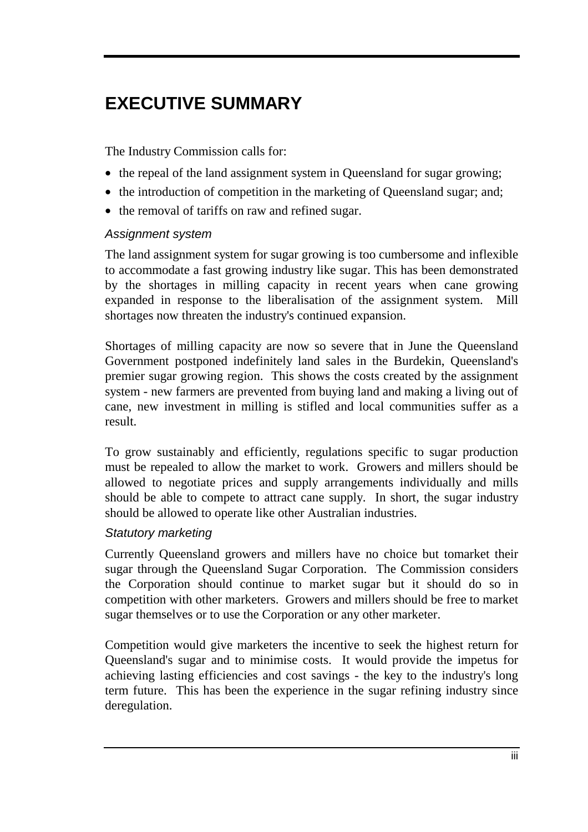# **EXECUTIVE SUMMARY**

The Industry Commission calls for:

- the repeal of the land assignment system in Queensland for sugar growing;
- the introduction of competition in the marketing of Queensland sugar; and;
- the removal of tariffs on raw and refined sugar.

#### *Assignment system*

The land assignment system for sugar growing is too cumbersome and inflexible to accommodate a fast growing industry like sugar. This has been demonstrated by the shortages in milling capacity in recent years when cane growing expanded in response to the liberalisation of the assignment system. Mill shortages now threaten the industry's continued expansion.

Shortages of milling capacity are now so severe that in June the Queensland Government postponed indefinitely land sales in the Burdekin, Queensland's premier sugar growing region. This shows the costs created by the assignment system - new farmers are prevented from buying land and making a living out of cane, new investment in milling is stifled and local communities suffer as a result.

To grow sustainably and efficiently, regulations specific to sugar production must be repealed to allow the market to work. Growers and millers should be allowed to negotiate prices and supply arrangements individually and mills should be able to compete to attract cane supply. In short, the sugar industry should be allowed to operate like other Australian industries.

#### *Statutory marketing*

Currently Queensland growers and millers have no choice but tomarket their sugar through the Queensland Sugar Corporation. The Commission considers the Corporation should continue to market sugar but it should do so in competition with other marketers. Growers and millers should be free to market sugar themselves or to use the Corporation or any other marketer.

Competition would give marketers the incentive to seek the highest return for Queensland's sugar and to minimise costs. It would provide the impetus for achieving lasting efficiencies and cost savings - the key to the industry's long term future. This has been the experience in the sugar refining industry since deregulation.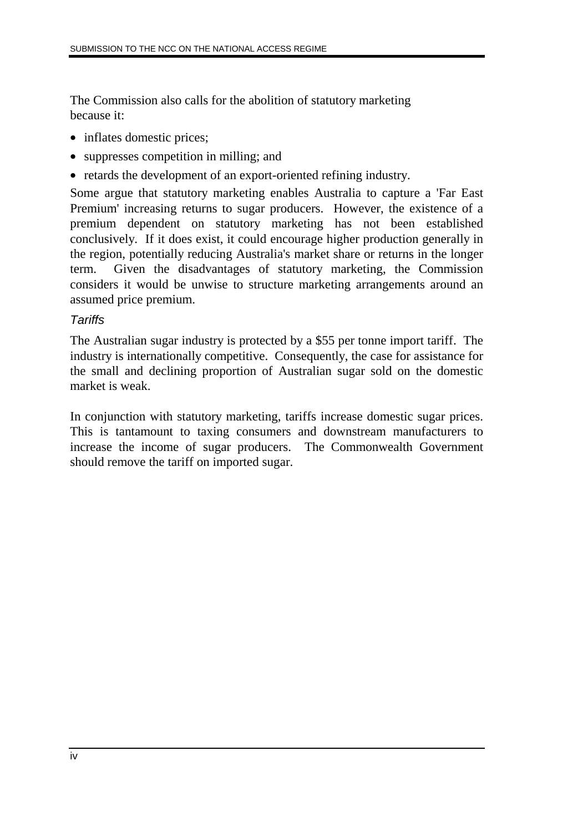The Commission also calls for the abolition of statutory marketing because it:

- inflates domestic prices;
- suppresses competition in milling; and
- retards the development of an export-oriented refining industry.

Some argue that statutory marketing enables Australia to capture a 'Far East Premium' increasing returns to sugar producers. However, the existence of a premium dependent on statutory marketing has not been established conclusively. If it does exist, it could encourage higher production generally in the region, potentially reducing Australia's market share or returns in the longer term. Given the disadvantages of statutory marketing, the Commission considers it would be unwise to structure marketing arrangements around an assumed price premium.

#### *Tariffs*

The Australian sugar industry is protected by a \$55 per tonne import tariff. The industry is internationally competitive. Consequently, the case for assistance for the small and declining proportion of Australian sugar sold on the domestic market is weak.

In conjunction with statutory marketing, tariffs increase domestic sugar prices. This is tantamount to taxing consumers and downstream manufacturers to increase the income of sugar producers. The Commonwealth Government should remove the tariff on imported sugar.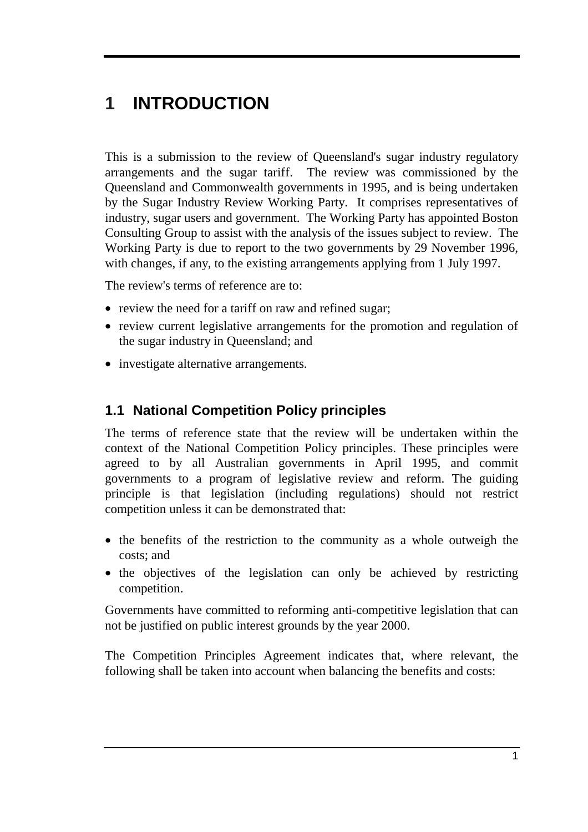# **1 INTRODUCTION**

This is a submission to the review of Queensland's sugar industry regulatory arrangements and the sugar tariff. The review was commissioned by the Queensland and Commonwealth governments in 1995, and is being undertaken by the Sugar Industry Review Working Party. It comprises representatives of industry, sugar users and government. The Working Party has appointed Boston Consulting Group to assist with the analysis of the issues subject to review. The Working Party is due to report to the two governments by 29 November 1996, with changes, if any, to the existing arrangements applying from 1 July 1997.

The review's terms of reference are to:

- review the need for a tariff on raw and refined sugar;
- review current legislative arrangements for the promotion and regulation of the sugar industry in Queensland; and
- investigate alternative arrangements.

### **1.1 National Competition Policy principles**

The terms of reference state that the review will be undertaken within the context of the National Competition Policy principles. These principles were agreed to by all Australian governments in April 1995, and commit governments to a program of legislative review and reform. The guiding principle is that legislation (including regulations) should not restrict competition unless it can be demonstrated that:

- the benefits of the restriction to the community as a whole outweigh the costs; and
- the objectives of the legislation can only be achieved by restricting competition.

Governments have committed to reforming anti-competitive legislation that can not be justified on public interest grounds by the year 2000.

The Competition Principles Agreement indicates that, where relevant, the following shall be taken into account when balancing the benefits and costs: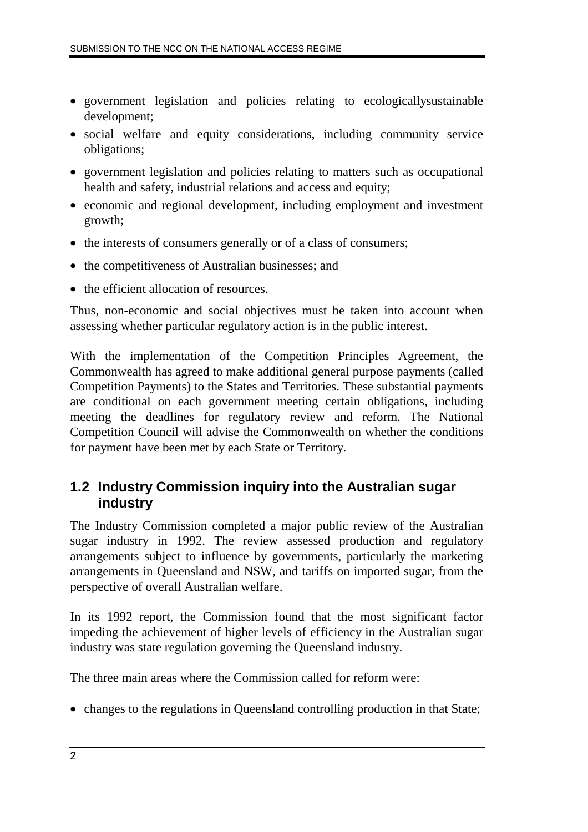- government legislation and policies relating to ecologicallysustainable development;
- social welfare and equity considerations, including community service obligations;
- government legislation and policies relating to matters such as occupational health and safety, industrial relations and access and equity;
- economic and regional development, including employment and investment growth;
- the interests of consumers generally or of a class of consumers;
- the competitiveness of Australian businesses; and
- the efficient allocation of resources.

Thus, non-economic and social objectives must be taken into account when assessing whether particular regulatory action is in the public interest.

With the implementation of the Competition Principles Agreement, the Commonwealth has agreed to make additional general purpose payments (called Competition Payments) to the States and Territories. These substantial payments are conditional on each government meeting certain obligations, including meeting the deadlines for regulatory review and reform. The National Competition Council will advise the Commonwealth on whether the conditions for payment have been met by each State or Territory.

### **1.2 Industry Commission inquiry into the Australian sugar industry**

The Industry Commission completed a major public review of the Australian sugar industry in 1992. The review assessed production and regulatory arrangements subject to influence by governments, particularly the marketing arrangements in Queensland and NSW, and tariffs on imported sugar, from the perspective of overall Australian welfare.

In its 1992 report, the Commission found that the most significant factor impeding the achievement of higher levels of efficiency in the Australian sugar industry was state regulation governing the Queensland industry.

The three main areas where the Commission called for reform were:

• changes to the regulations in Queensland controlling production in that State;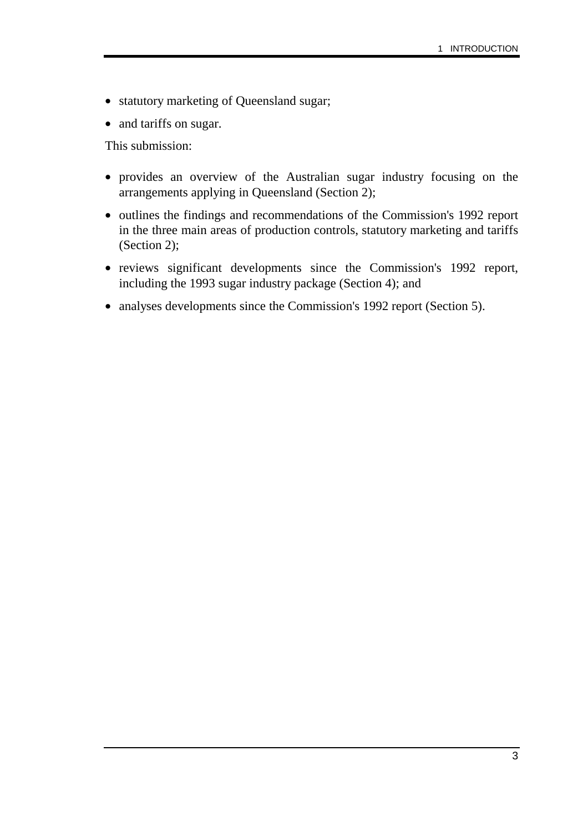- statutory marketing of Queensland sugar;
- and tariffs on sugar.

This submission:

- provides an overview of the Australian sugar industry focusing on the arrangements applying in Queensland (Section 2);
- outlines the findings and recommendations of the Commission's 1992 report in the three main areas of production controls, statutory marketing and tariffs (Section 2);
- reviews significant developments since the Commission's 1992 report, including the 1993 sugar industry package (Section 4); and
- analyses developments since the Commission's 1992 report (Section 5).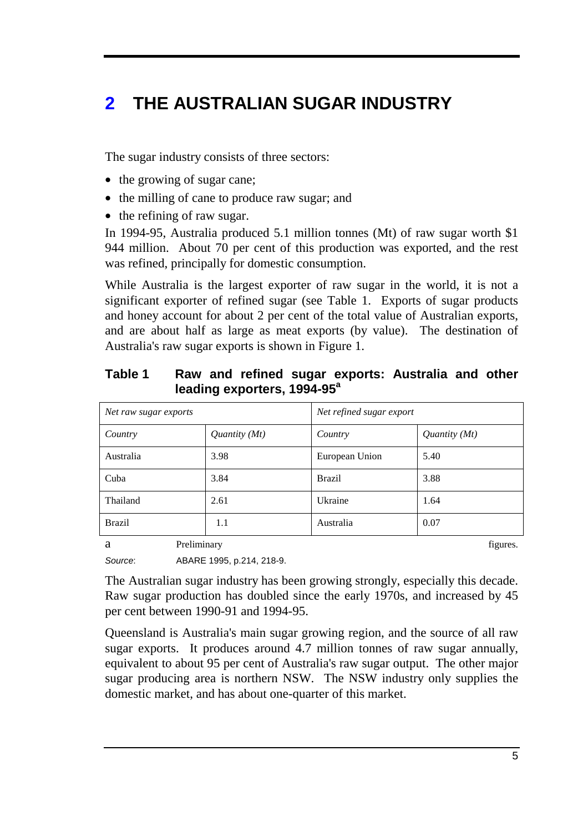# **2 THE AUSTRALIAN SUGAR INDUSTRY**

The sugar industry consists of three sectors:

- the growing of sugar cane;
- the milling of cane to produce raw sugar; and
- the refining of raw sugar.

In 1994-95, Australia produced 5.1 million tonnes (Mt) of raw sugar worth \$1 944 million. About 70 per cent of this production was exported, and the rest was refined, principally for domestic consumption.

While Australia is the largest exporter of raw sugar in the world, it is not a significant exporter of refined sugar (see Table 1. Exports of sugar products and honey account for about 2 per cent of the total value of Australian exports, and are about half as large as meat exports (by value). The destination of Australia's raw sugar exports is shown in Figure 1.

| Net raw sugar exports |               | Net refined sugar export |                 |
|-----------------------|---------------|--------------------------|-----------------|
| Country               | Quantity (Mt) | Country                  | Quantity $(Mt)$ |
| Australia             | 3.98          | European Union           | 5.40            |
| Cuba                  | 3.84          | <b>Brazil</b>            | 3.88            |
| Thailand              | 2.61          | Ukraine                  | 1.64            |
| <b>Brazil</b>         | 1.1           | Australia                | 0.07            |
| Preliminary<br>a      |               |                          |                 |

### **Table 1 Raw and refined sugar exports: Australia and other**  leading exporters, 1994-95<sup>a</sup>

*Source*: ABARE 1995, p.214, 218-9.

The Australian sugar industry has been growing strongly, especially this decade. Raw sugar production has doubled since the early 1970s, and increased by 45 per cent between 1990-91 and 1994-95.

Queensland is Australia's main sugar growing region, and the source of all raw sugar exports. It produces around 4.7 million tonnes of raw sugar annually, equivalent to about 95 per cent of Australia's raw sugar output. The other major sugar producing area is northern NSW. The NSW industry only supplies the domestic market, and has about one-quarter of this market.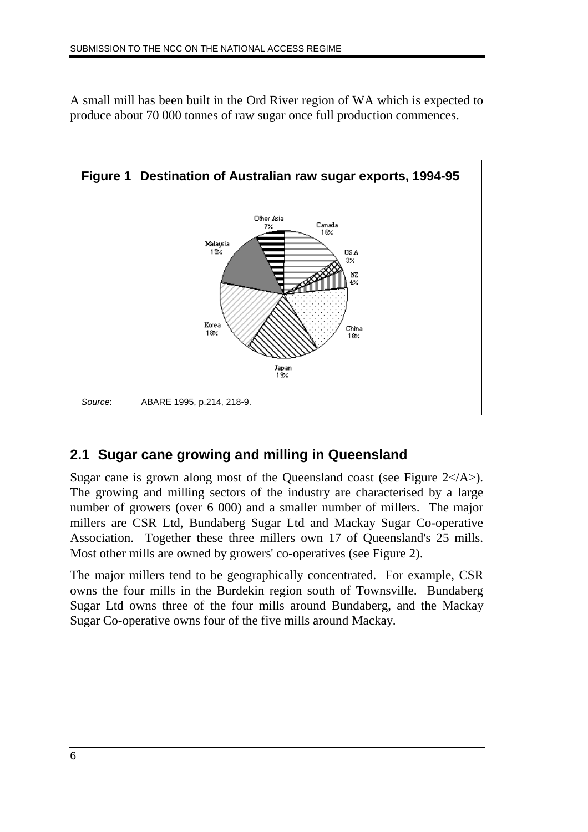A small mill has been built in the Ord River region of WA which is expected to produce about 70 000 tonnes of raw sugar once full production commences.



# **2.1 Sugar cane growing and milling in Queensland**

Sugar cane is grown along most of the Queensland coast (see Figure  $2\lt/|A\rangle$ ). The growing and milling sectors of the industry are characterised by a large number of growers (over 6 000) and a smaller number of millers. The major millers are CSR Ltd, Bundaberg Sugar Ltd and Mackay Sugar Co-operative Association. Together these three millers own 17 of Queensland's 25 mills. Most other mills are owned by growers' co-operatives (see Figure 2).

The major millers tend to be geographically concentrated. For example, CSR owns the four mills in the Burdekin region south of Townsville. Bundaberg Sugar Ltd owns three of the four mills around Bundaberg, and the Mackay Sugar Co-operative owns four of the five mills around Mackay.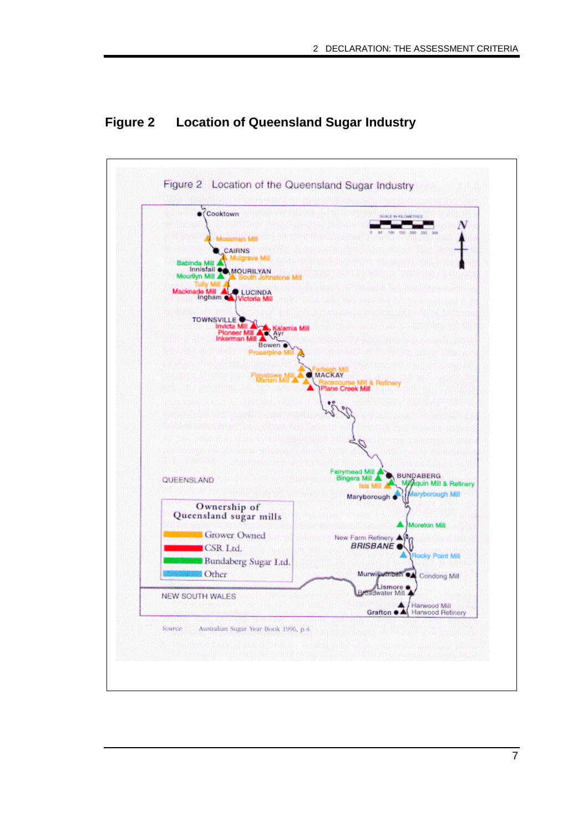

### **Figure 2 Location of Queensland Sugar Industry**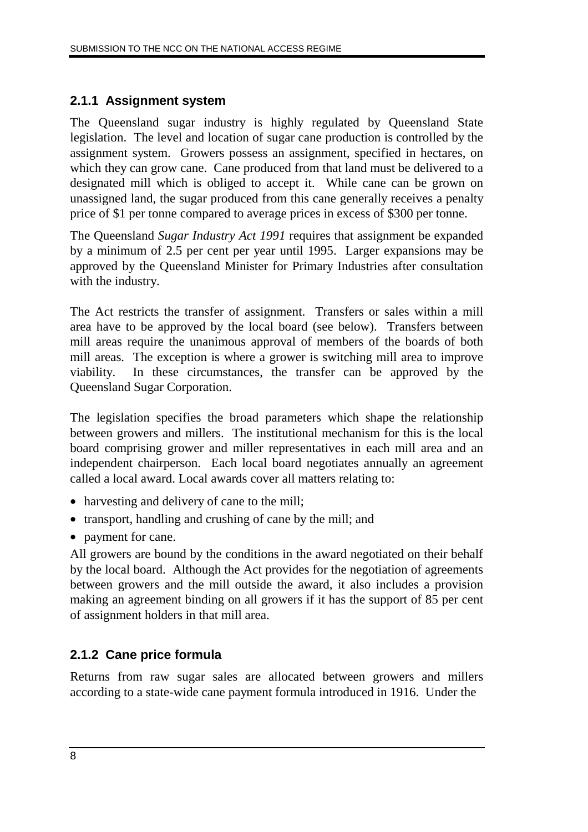### **2.1.1 Assignment system**

The Queensland sugar industry is highly regulated by Queensland State legislation. The level and location of sugar cane production is controlled by the assignment system. Growers possess an assignment, specified in hectares, on which they can grow cane. Cane produced from that land must be delivered to a designated mill which is obliged to accept it. While cane can be grown on unassigned land, the sugar produced from this cane generally receives a penalty price of \$1 per tonne compared to average prices in excess of \$300 per tonne.

The Queensland *Sugar Industry Act 1991* requires that assignment be expanded by a minimum of 2.5 per cent per year until 1995. Larger expansions may be approved by the Queensland Minister for Primary Industries after consultation with the industry.

The Act restricts the transfer of assignment. Transfers or sales within a mill area have to be approved by the local board (see below). Transfers between mill areas require the unanimous approval of members of the boards of both mill areas. The exception is where a grower is switching mill area to improve viability. In these circumstances, the transfer can be approved by the Queensland Sugar Corporation.

The legislation specifies the broad parameters which shape the relationship between growers and millers. The institutional mechanism for this is the local board comprising grower and miller representatives in each mill area and an independent chairperson. Each local board negotiates annually an agreement called a local award. Local awards cover all matters relating to:

- harvesting and delivery of cane to the mill;
- transport, handling and crushing of cane by the mill; and
- payment for cane.

All growers are bound by the conditions in the award negotiated on their behalf by the local board. Although the Act provides for the negotiation of agreements between growers and the mill outside the award, it also includes a provision making an agreement binding on all growers if it has the support of 85 per cent of assignment holders in that mill area.

### **2.1.2 Cane price formula**

Returns from raw sugar sales are allocated between growers and millers according to a state-wide cane payment formula introduced in 1916. Under the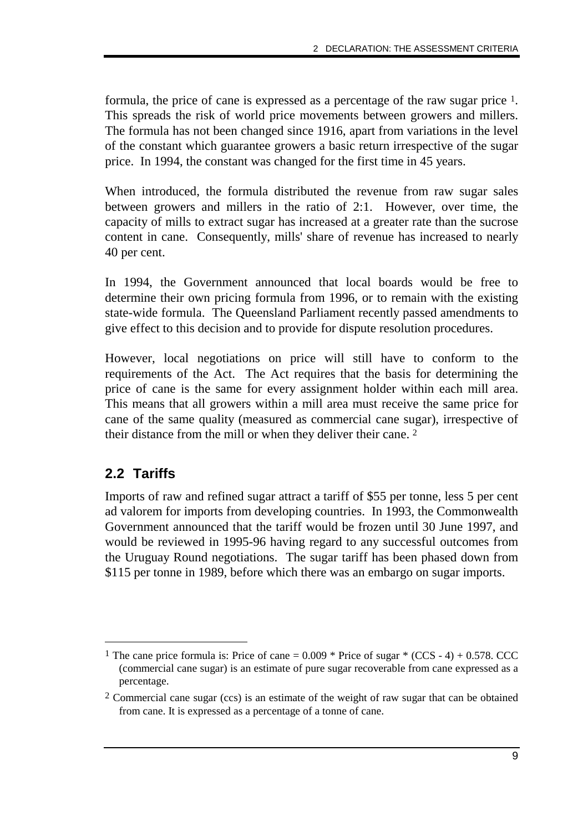formula, the price of cane is expressed as a percentage of the raw sugar price 1. This spreads the risk of world price movements between growers and millers. The formula has not been changed since 1916, apart from variations in the level of the constant which guarantee growers a basic return irrespective of the sugar price. In 1994, the constant was changed for the first time in 45 years.

When introduced, the formula distributed the revenue from raw sugar sales between growers and millers in the ratio of 2:1. However, over time, the capacity of mills to extract sugar has increased at a greater rate than the sucrose content in cane. Consequently, mills' share of revenue has increased to nearly 40 per cent.

In 1994, the Government announced that local boards would be free to determine their own pricing formula from 1996, or to remain with the existing state-wide formula. The Queensland Parliament recently passed amendments to give effect to this decision and to provide for dispute resolution procedures.

However, local negotiations on price will still have to conform to the requirements of the Act. The Act requires that the basis for determining the price of cane is the same for every assignment holder within each mill area. This means that all growers within a mill area must receive the same price for cane of the same quality (measured as commercial cane sugar), irrespective of their distance from the mill or when they deliver their cane. 2

### **2.2 Tariffs**

Imports of raw and refined sugar attract a tariff of \$55 per tonne, less 5 per cent ad valorem for imports from developing countries. In 1993, the Commonwealth Government announced that the tariff would be frozen until 30 June 1997, and would be reviewed in 1995-96 having regard to any successful outcomes from the Uruguay Round negotiations. The sugar tariff has been phased down from \$115 per tonne in 1989, before which there was an embargo on sugar imports.

<sup>&</sup>lt;sup>1</sup> The cane price formula is: Price of cane =  $0.009 *$  Price of sugar  $*(CCS - 4) + 0.578$ . CCC (commercial cane sugar) is an estimate of pure sugar recoverable from cane expressed as a percentage.

<sup>2</sup> Commercial cane sugar (ccs) is an estimate of the weight of raw sugar that can be obtained from cane. It is expressed as a percentage of a tonne of cane.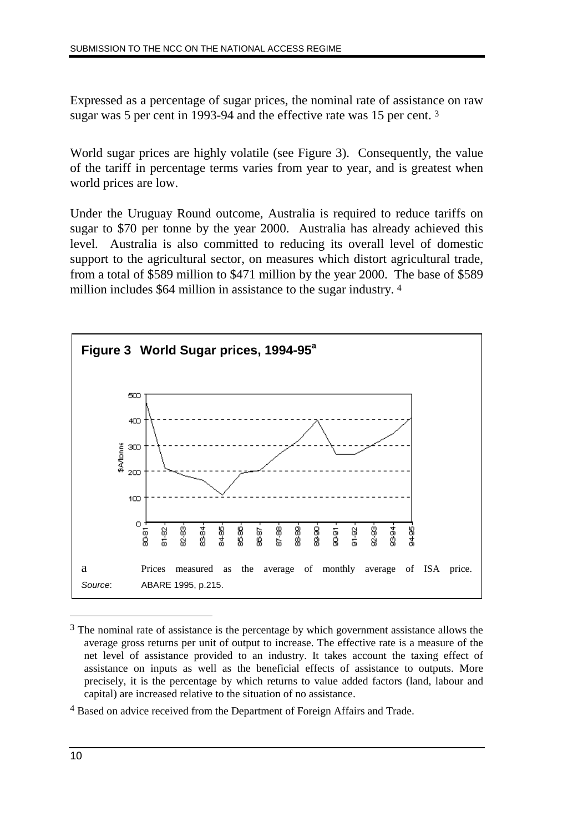Expressed as a percentage of sugar prices, the nominal rate of assistance on raw sugar was 5 per cent in 1993-94 and the effective rate was 15 per cent. 3

World sugar prices are highly volatile (see Figure 3). Consequently, the value of the tariff in percentage terms varies from year to year, and is greatest when world prices are low.

Under the Uruguay Round outcome, Australia is required to reduce tariffs on sugar to \$70 per tonne by the year 2000. Australia has already achieved this level. Australia is also committed to reducing its overall level of domestic support to the agricultural sector, on measures which distort agricultural trade, from a total of \$589 million to \$471 million by the year 2000. The base of \$589 million includes \$64 million in assistance to the sugar industry. 4



<sup>&</sup>lt;sup>3</sup> The nominal rate of assistance is the percentage by which government assistance allows the average gross returns per unit of output to increase. The effective rate is a measure of the net level of assistance provided to an industry. It takes account the taxing effect of assistance on inputs as well as the beneficial effects of assistance to outputs. More precisely, it is the percentage by which returns to value added factors (land, labour and capital) are increased relative to the situation of no assistance.

<sup>4</sup> Based on advice received from the Department of Foreign Affairs and Trade.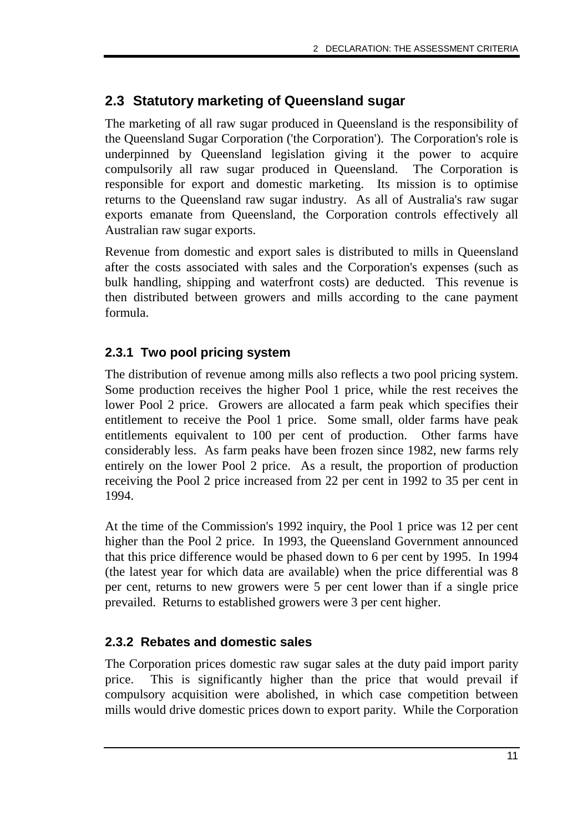### **2.3 Statutory marketing of Queensland sugar**

The marketing of all raw sugar produced in Queensland is the responsibility of the Queensland Sugar Corporation ('the Corporation'). The Corporation's role is underpinned by Queensland legislation giving it the power to acquire compulsorily all raw sugar produced in Queensland. The Corporation is responsible for export and domestic marketing. Its mission is to optimise returns to the Queensland raw sugar industry. As all of Australia's raw sugar exports emanate from Queensland, the Corporation controls effectively all Australian raw sugar exports.

Revenue from domestic and export sales is distributed to mills in Queensland after the costs associated with sales and the Corporation's expenses (such as bulk handling, shipping and waterfront costs) are deducted. This revenue is then distributed between growers and mills according to the cane payment formula.

### **2.3.1 Two pool pricing system**

The distribution of revenue among mills also reflects a two pool pricing system. Some production receives the higher Pool 1 price, while the rest receives the lower Pool 2 price. Growers are allocated a farm peak which specifies their entitlement to receive the Pool 1 price. Some small, older farms have peak entitlements equivalent to 100 per cent of production. Other farms have considerably less. As farm peaks have been frozen since 1982, new farms rely entirely on the lower Pool 2 price. As a result, the proportion of production receiving the Pool 2 price increased from 22 per cent in 1992 to 35 per cent in 1994.

At the time of the Commission's 1992 inquiry, the Pool 1 price was 12 per cent higher than the Pool 2 price. In 1993, the Queensland Government announced that this price difference would be phased down to 6 per cent by 1995. In 1994 (the latest year for which data are available) when the price differential was 8 per cent, returns to new growers were 5 per cent lower than if a single price prevailed. Returns to established growers were 3 per cent higher.

### **2.3.2 Rebates and domestic sales**

The Corporation prices domestic raw sugar sales at the duty paid import parity price. This is significantly higher than the price that would prevail if compulsory acquisition were abolished, in which case competition between mills would drive domestic prices down to export parity. While the Corporation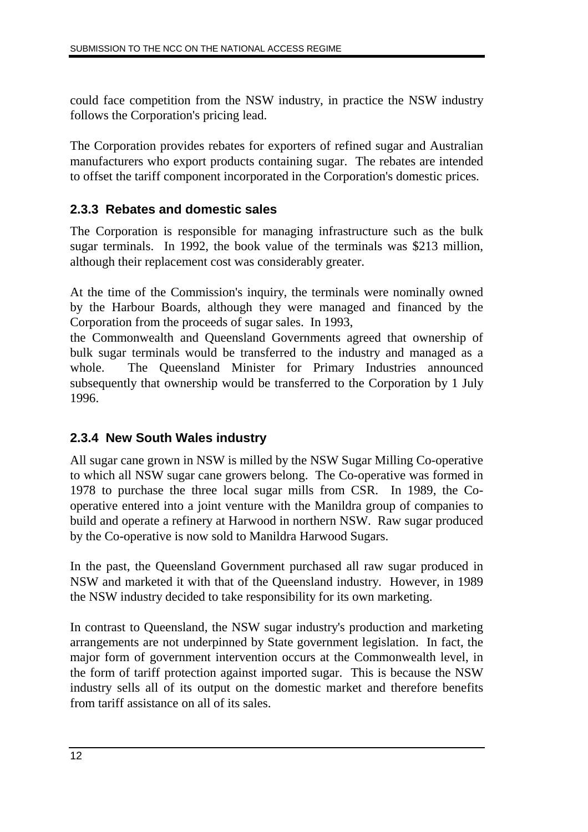could face competition from the NSW industry, in practice the NSW industry follows the Corporation's pricing lead.

The Corporation provides rebates for exporters of refined sugar and Australian manufacturers who export products containing sugar. The rebates are intended to offset the tariff component incorporated in the Corporation's domestic prices.

### **2.3.3 Rebates and domestic sales**

The Corporation is responsible for managing infrastructure such as the bulk sugar terminals. In 1992, the book value of the terminals was \$213 million, although their replacement cost was considerably greater.

At the time of the Commission's inquiry, the terminals were nominally owned by the Harbour Boards, although they were managed and financed by the Corporation from the proceeds of sugar sales. In 1993,

the Commonwealth and Queensland Governments agreed that ownership of bulk sugar terminals would be transferred to the industry and managed as a whole. The Queensland Minister for Primary Industries announced subsequently that ownership would be transferred to the Corporation by 1 July 1996.

### **2.3.4 New South Wales industry**

All sugar cane grown in NSW is milled by the NSW Sugar Milling Co-operative to which all NSW sugar cane growers belong. The Co-operative was formed in 1978 to purchase the three local sugar mills from CSR. In 1989, the Cooperative entered into a joint venture with the Manildra group of companies to build and operate a refinery at Harwood in northern NSW. Raw sugar produced by the Co-operative is now sold to Manildra Harwood Sugars.

In the past, the Queensland Government purchased all raw sugar produced in NSW and marketed it with that of the Queensland industry. However, in 1989 the NSW industry decided to take responsibility for its own marketing.

In contrast to Queensland, the NSW sugar industry's production and marketing arrangements are not underpinned by State government legislation. In fact, the major form of government intervention occurs at the Commonwealth level, in the form of tariff protection against imported sugar. This is because the NSW industry sells all of its output on the domestic market and therefore benefits from tariff assistance on all of its sales.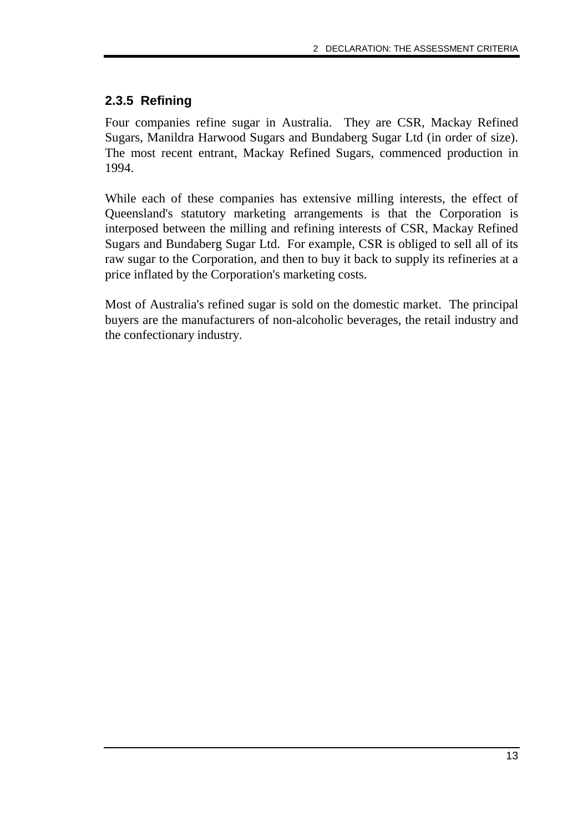### **2.3.5 Refining**

Four companies refine sugar in Australia. They are CSR, Mackay Refined Sugars, Manildra Harwood Sugars and Bundaberg Sugar Ltd (in order of size). The most recent entrant, Mackay Refined Sugars, commenced production in 1994.

While each of these companies has extensive milling interests, the effect of Queensland's statutory marketing arrangements is that the Corporation is interposed between the milling and refining interests of CSR, Mackay Refined Sugars and Bundaberg Sugar Ltd. For example, CSR is obliged to sell all of its raw sugar to the Corporation, and then to buy it back to supply its refineries at a price inflated by the Corporation's marketing costs.

Most of Australia's refined sugar is sold on the domestic market. The principal buyers are the manufacturers of non-alcoholic beverages, the retail industry and the confectionary industry.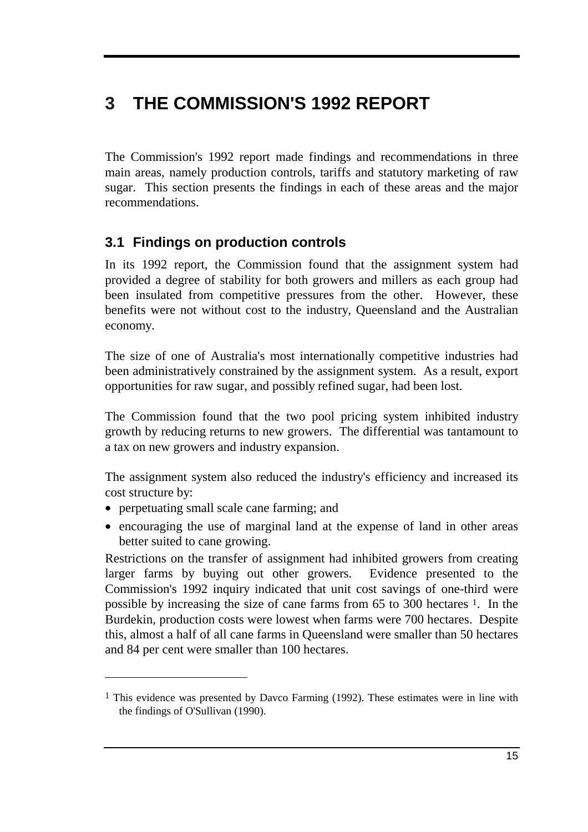# **3 THE COMMISSION'S 1992 REPORT**

The Commission's 1992 report made findings and recommendations in three main areas, namely production controls, tariffs and statutory marketing of raw sugar. This section presents the findings in each of these areas and the major recommendations.

### **3.1 Findings on production controls**

In its 1992 report, the Commission found that the assignment system had provided a degree of stability for both growers and millers as each group had been insulated from competitive pressures from the other. However, these benefits were not without cost to the industry, Queensland and the Australian economy.

The size of one of Australia's most internationally competitive industries had been administratively constrained by the assignment system. As a result, export opportunities for raw sugar, and possibly refined sugar, had been lost.

The Commission found that the two pool pricing system inhibited industry growth by reducing returns to new growers. The differential was tantamount to a tax on new growers and industry expansion.

The assignment system also reduced the industry's efficiency and increased its cost structure by:

• perpetuating small scale cane farming; and

• encouraging the use of marginal land at the expense of land in other areas better suited to cane growing.

Restrictions on the transfer of assignment had inhibited growers from creating larger farms by buying out other growers. Evidence presented to the Commission's 1992 inquiry indicated that unit cost savings of one-third were possible by increasing the size of cane farms from 65 to 300 hectares 1. In the Burdekin, production costs were lowest when farms were 700 hectares. Despite this, almost a half of all cane farms in Queensland were smaller than 50 hectares and 84 per cent were smaller than 100 hectares.

<sup>1</sup> This evidence was presented by Davco Farming (1992). These estimates were in line with the findings of O'Sullivan (1990).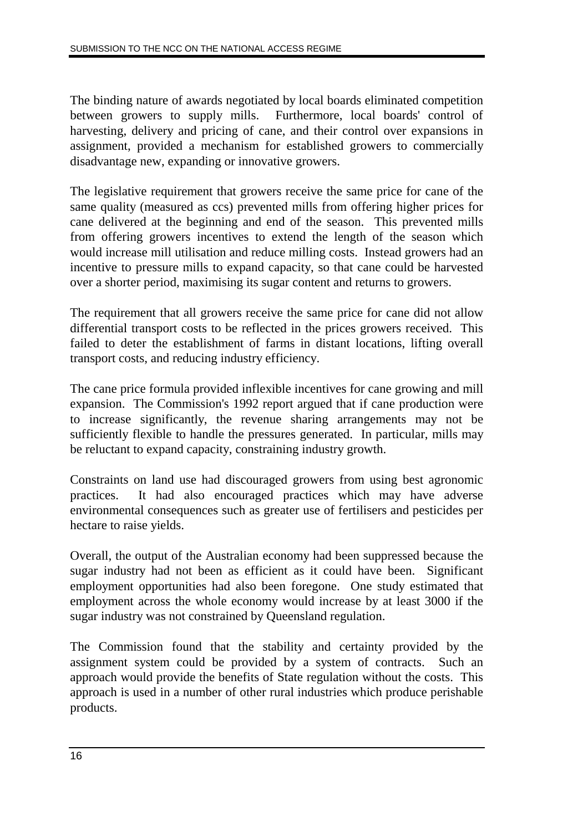The binding nature of awards negotiated by local boards eliminated competition between growers to supply mills. Furthermore, local boards' control of harvesting, delivery and pricing of cane, and their control over expansions in assignment, provided a mechanism for established growers to commercially disadvantage new, expanding or innovative growers.

The legislative requirement that growers receive the same price for cane of the same quality (measured as ccs) prevented mills from offering higher prices for cane delivered at the beginning and end of the season. This prevented mills from offering growers incentives to extend the length of the season which would increase mill utilisation and reduce milling costs. Instead growers had an incentive to pressure mills to expand capacity, so that cane could be harvested over a shorter period, maximising its sugar content and returns to growers.

The requirement that all growers receive the same price for cane did not allow differential transport costs to be reflected in the prices growers received. This failed to deter the establishment of farms in distant locations, lifting overall transport costs, and reducing industry efficiency.

The cane price formula provided inflexible incentives for cane growing and mill expansion. The Commission's 1992 report argued that if cane production were to increase significantly, the revenue sharing arrangements may not be sufficiently flexible to handle the pressures generated. In particular, mills may be reluctant to expand capacity, constraining industry growth.

Constraints on land use had discouraged growers from using best agronomic practices. It had also encouraged practices which may have adverse environmental consequences such as greater use of fertilisers and pesticides per hectare to raise yields.

Overall, the output of the Australian economy had been suppressed because the sugar industry had not been as efficient as it could have been. Significant employment opportunities had also been foregone. One study estimated that employment across the whole economy would increase by at least 3000 if the sugar industry was not constrained by Queensland regulation.

The Commission found that the stability and certainty provided by the assignment system could be provided by a system of contracts. Such an approach would provide the benefits of State regulation without the costs. This approach is used in a number of other rural industries which produce perishable products.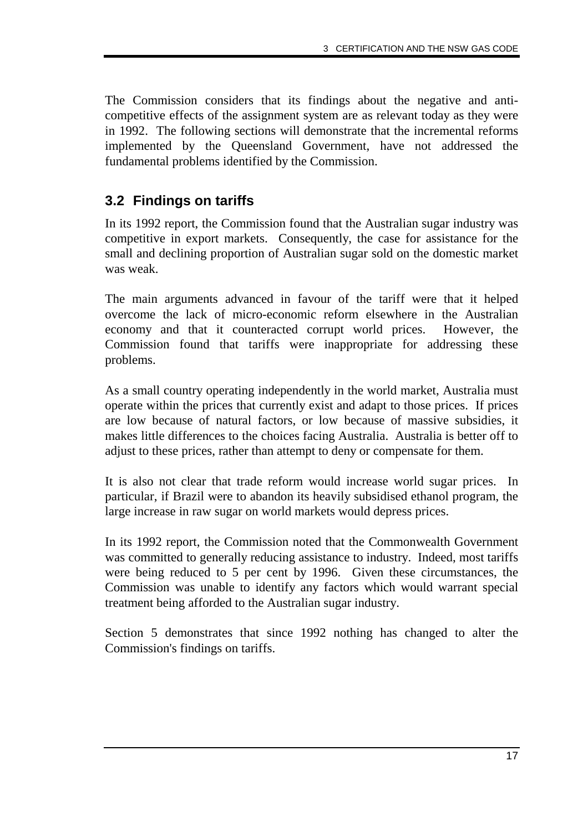The Commission considers that its findings about the negative and anticompetitive effects of the assignment system are as relevant today as they were in 1992. The following sections will demonstrate that the incremental reforms implemented by the Queensland Government, have not addressed the fundamental problems identified by the Commission.

### **3.2 Findings on tariffs**

In its 1992 report, the Commission found that the Australian sugar industry was competitive in export markets. Consequently, the case for assistance for the small and declining proportion of Australian sugar sold on the domestic market was weak.

The main arguments advanced in favour of the tariff were that it helped overcome the lack of micro-economic reform elsewhere in the Australian economy and that it counteracted corrupt world prices. However, the Commission found that tariffs were inappropriate for addressing these problems.

As a small country operating independently in the world market, Australia must operate within the prices that currently exist and adapt to those prices. If prices are low because of natural factors, or low because of massive subsidies, it makes little differences to the choices facing Australia. Australia is better off to adjust to these prices, rather than attempt to deny or compensate for them.

It is also not clear that trade reform would increase world sugar prices. In particular, if Brazil were to abandon its heavily subsidised ethanol program, the large increase in raw sugar on world markets would depress prices.

In its 1992 report, the Commission noted that the Commonwealth Government was committed to generally reducing assistance to industry. Indeed, most tariffs were being reduced to 5 per cent by 1996. Given these circumstances, the Commission was unable to identify any factors which would warrant special treatment being afforded to the Australian sugar industry.

Section 5 demonstrates that since 1992 nothing has changed to alter the Commission's findings on tariffs.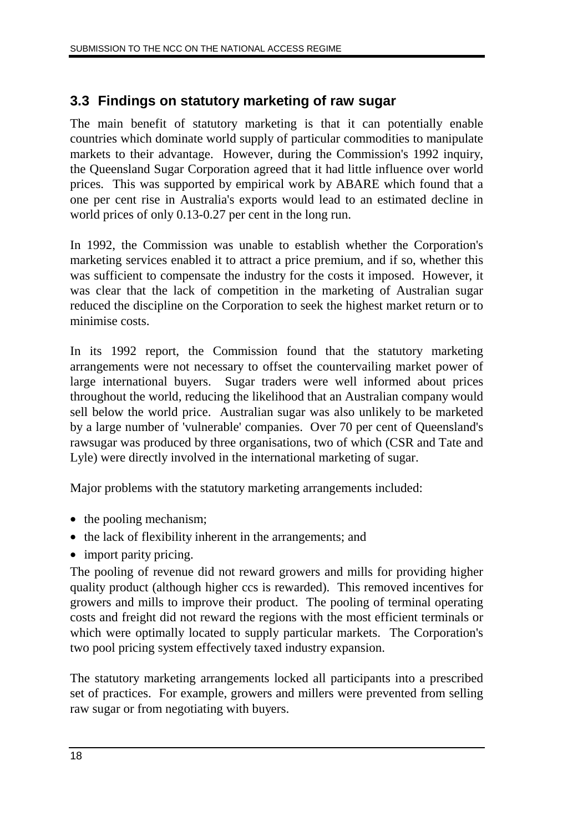### **3.3 Findings on statutory marketing of raw sugar**

The main benefit of statutory marketing is that it can potentially enable countries which dominate world supply of particular commodities to manipulate markets to their advantage. However, during the Commission's 1992 inquiry, the Queensland Sugar Corporation agreed that it had little influence over world prices. This was supported by empirical work by ABARE which found that a one per cent rise in Australia's exports would lead to an estimated decline in world prices of only 0.13-0.27 per cent in the long run.

In 1992, the Commission was unable to establish whether the Corporation's marketing services enabled it to attract a price premium, and if so, whether this was sufficient to compensate the industry for the costs it imposed. However, it was clear that the lack of competition in the marketing of Australian sugar reduced the discipline on the Corporation to seek the highest market return or to minimise costs.

In its 1992 report, the Commission found that the statutory marketing arrangements were not necessary to offset the countervailing market power of large international buyers. Sugar traders were well informed about prices throughout the world, reducing the likelihood that an Australian company would sell below the world price. Australian sugar was also unlikely to be marketed by a large number of 'vulnerable' companies. Over 70 per cent of Queensland's rawsugar was produced by three organisations, two of which (CSR and Tate and Lyle) were directly involved in the international marketing of sugar.

Major problems with the statutory marketing arrangements included:

- the pooling mechanism;
- the lack of flexibility inherent in the arrangements; and
- import parity pricing.

The pooling of revenue did not reward growers and mills for providing higher quality product (although higher ccs is rewarded). This removed incentives for growers and mills to improve their product. The pooling of terminal operating costs and freight did not reward the regions with the most efficient terminals or which were optimally located to supply particular markets. The Corporation's two pool pricing system effectively taxed industry expansion.

The statutory marketing arrangements locked all participants into a prescribed set of practices. For example, growers and millers were prevented from selling raw sugar or from negotiating with buyers.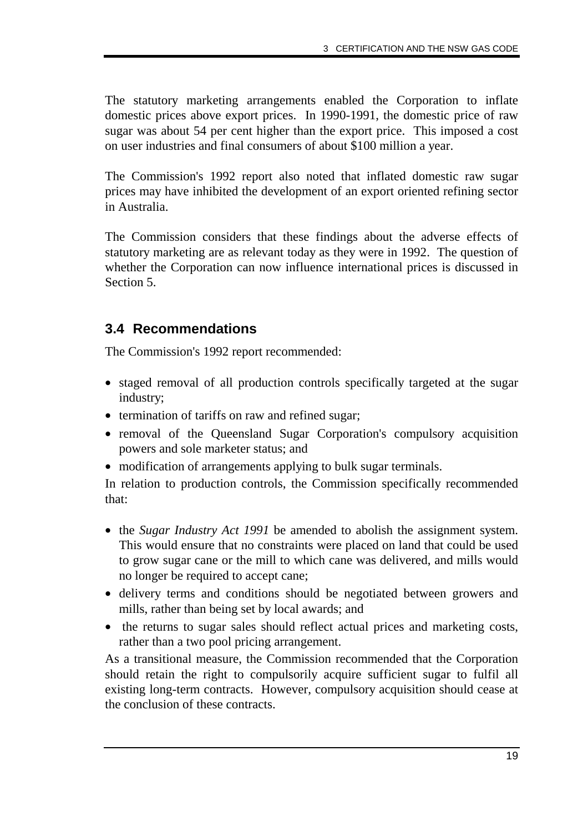The statutory marketing arrangements enabled the Corporation to inflate domestic prices above export prices. In 1990-1991, the domestic price of raw sugar was about 54 per cent higher than the export price. This imposed a cost on user industries and final consumers of about \$100 million a year.

The Commission's 1992 report also noted that inflated domestic raw sugar prices may have inhibited the development of an export oriented refining sector in Australia.

The Commission considers that these findings about the adverse effects of statutory marketing are as relevant today as they were in 1992. The question of whether the Corporation can now influence international prices is discussed in Section 5.

### **3.4 Recommendations**

The Commission's 1992 report recommended:

- staged removal of all production controls specifically targeted at the sugar industry;
- termination of tariffs on raw and refined sugar;
- removal of the Queensland Sugar Corporation's compulsory acquisition powers and sole marketer status; and
- modification of arrangements applying to bulk sugar terminals.

In relation to production controls, the Commission specifically recommended that:

- the *Sugar Industry Act 1991* be amended to abolish the assignment system. This would ensure that no constraints were placed on land that could be used to grow sugar cane or the mill to which cane was delivered, and mills would no longer be required to accept cane;
- delivery terms and conditions should be negotiated between growers and mills, rather than being set by local awards; and
- the returns to sugar sales should reflect actual prices and marketing costs, rather than a two pool pricing arrangement.

As a transitional measure, the Commission recommended that the Corporation should retain the right to compulsorily acquire sufficient sugar to fulfil all existing long-term contracts. However, compulsory acquisition should cease at the conclusion of these contracts.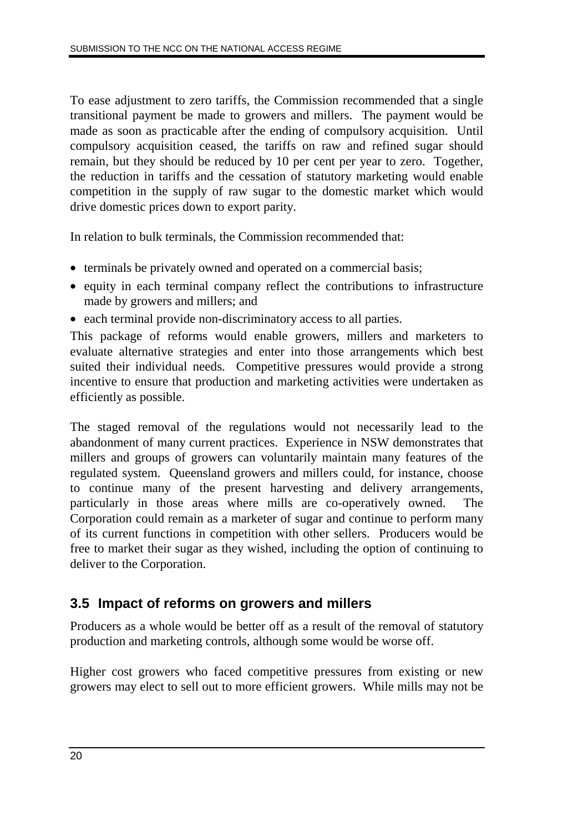To ease adjustment to zero tariffs, the Commission recommended that a single transitional payment be made to growers and millers. The payment would be made as soon as practicable after the ending of compulsory acquisition. Until compulsory acquisition ceased, the tariffs on raw and refined sugar should remain, but they should be reduced by 10 per cent per year to zero. Together, the reduction in tariffs and the cessation of statutory marketing would enable competition in the supply of raw sugar to the domestic market which would drive domestic prices down to export parity.

In relation to bulk terminals, the Commission recommended that:

- terminals be privately owned and operated on a commercial basis;
- equity in each terminal company reflect the contributions to infrastructure made by growers and millers; and
- each terminal provide non-discriminatory access to all parties.

This package of reforms would enable growers, millers and marketers to evaluate alternative strategies and enter into those arrangements which best suited their individual needs. Competitive pressures would provide a strong incentive to ensure that production and marketing activities were undertaken as efficiently as possible.

The staged removal of the regulations would not necessarily lead to the abandonment of many current practices. Experience in NSW demonstrates that millers and groups of growers can voluntarily maintain many features of the regulated system. Queensland growers and millers could, for instance, choose to continue many of the present harvesting and delivery arrangements, particularly in those areas where mills are co-operatively owned. The Corporation could remain as a marketer of sugar and continue to perform many of its current functions in competition with other sellers. Producers would be free to market their sugar as they wished, including the option of continuing to deliver to the Corporation.

### **3.5 Impact of reforms on growers and millers**

Producers as a whole would be better off as a result of the removal of statutory production and marketing controls, although some would be worse off.

Higher cost growers who faced competitive pressures from existing or new growers may elect to sell out to more efficient growers. While mills may not be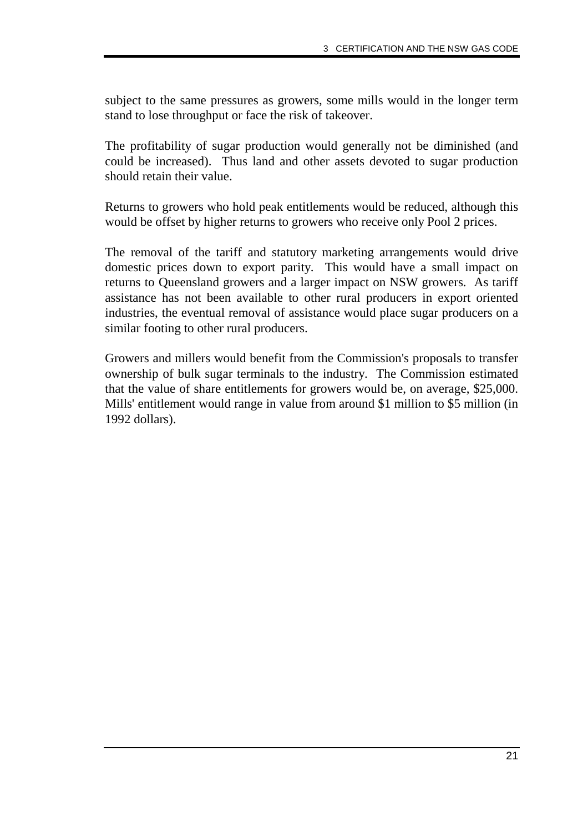subject to the same pressures as growers, some mills would in the longer term stand to lose throughput or face the risk of takeover.

The profitability of sugar production would generally not be diminished (and could be increased). Thus land and other assets devoted to sugar production should retain their value.

Returns to growers who hold peak entitlements would be reduced, although this would be offset by higher returns to growers who receive only Pool 2 prices.

The removal of the tariff and statutory marketing arrangements would drive domestic prices down to export parity. This would have a small impact on returns to Queensland growers and a larger impact on NSW growers. As tariff assistance has not been available to other rural producers in export oriented industries, the eventual removal of assistance would place sugar producers on a similar footing to other rural producers.

Growers and millers would benefit from the Commission's proposals to transfer ownership of bulk sugar terminals to the industry. The Commission estimated that the value of share entitlements for growers would be, on average, \$25,000. Mills' entitlement would range in value from around \$1 million to \$5 million (in 1992 dollars).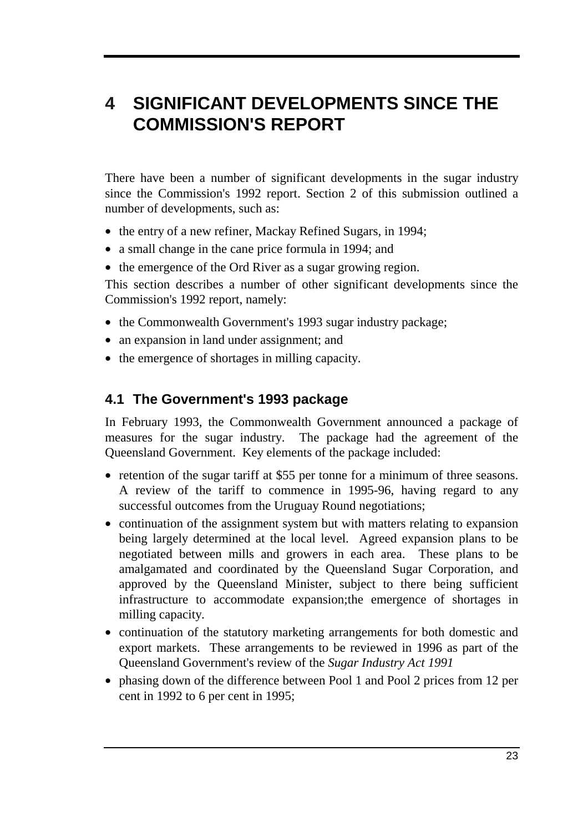# **4 SIGNIFICANT DEVELOPMENTS SINCE THE COMMISSION'S REPORT**

There have been a number of significant developments in the sugar industry since the Commission's 1992 report. Section 2 of this submission outlined a number of developments, such as:

- the entry of a new refiner, Mackay Refined Sugars, in 1994;
- a small change in the cane price formula in 1994; and
- the emergence of the Ord River as a sugar growing region.

This section describes a number of other significant developments since the Commission's 1992 report, namely:

- the Commonwealth Government's 1993 sugar industry package;
- an expansion in land under assignment; and
- the emergence of shortages in milling capacity.

### **4.1 The Government's 1993 package**

In February 1993, the Commonwealth Government announced a package of measures for the sugar industry. The package had the agreement of the Queensland Government. Key elements of the package included:

- retention of the sugar tariff at \$55 per tonne for a minimum of three seasons. A review of the tariff to commence in 1995-96, having regard to any successful outcomes from the Uruguay Round negotiations;
- continuation of the assignment system but with matters relating to expansion being largely determined at the local level. Agreed expansion plans to be negotiated between mills and growers in each area. These plans to be amalgamated and coordinated by the Queensland Sugar Corporation, and approved by the Queensland Minister, subject to there being sufficient infrastructure to accommodate expansion;the emergence of shortages in milling capacity.
- continuation of the statutory marketing arrangements for both domestic and export markets. These arrangements to be reviewed in 1996 as part of the Queensland Government's review of the *Sugar Industry Act 1991*
- phasing down of the difference between Pool 1 and Pool 2 prices from 12 per cent in 1992 to 6 per cent in 1995;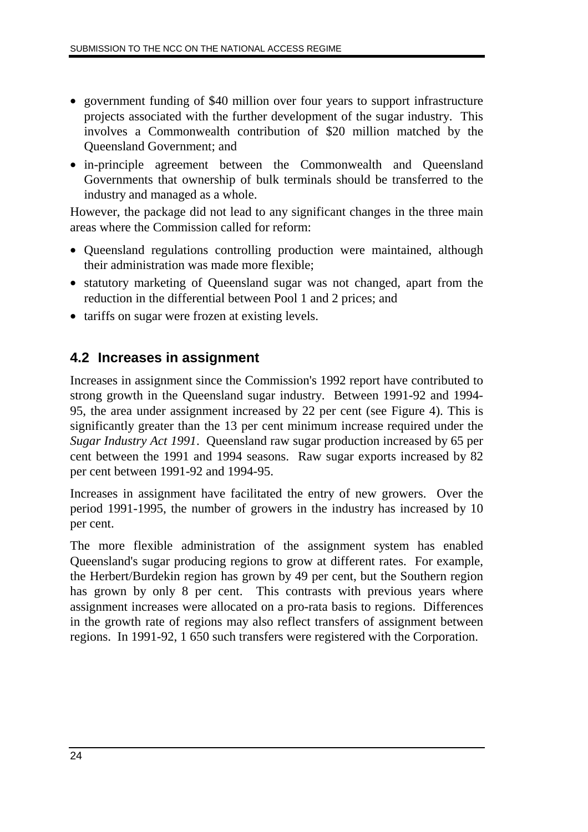- government funding of \$40 million over four years to support infrastructure projects associated with the further development of the sugar industry. This involves a Commonwealth contribution of \$20 million matched by the Queensland Government; and
- in-principle agreement between the Commonwealth and Queensland Governments that ownership of bulk terminals should be transferred to the industry and managed as a whole.

However, the package did not lead to any significant changes in the three main areas where the Commission called for reform:

- Queensland regulations controlling production were maintained, although their administration was made more flexible;
- statutory marketing of Queensland sugar was not changed, apart from the reduction in the differential between Pool 1 and 2 prices; and
- tariffs on sugar were frozen at existing levels.

### **4.2 Increases in assignment**

Increases in assignment since the Commission's 1992 report have contributed to strong growth in the Queensland sugar industry. Between 1991-92 and 1994- 95, the area under assignment increased by 22 per cent (see Figure 4). This is significantly greater than the 13 per cent minimum increase required under the *Sugar Industry Act 1991*. Queensland raw sugar production increased by 65 per cent between the 1991 and 1994 seasons. Raw sugar exports increased by 82 per cent between 1991-92 and 1994-95.

Increases in assignment have facilitated the entry of new growers. Over the period 1991-1995, the number of growers in the industry has increased by 10 per cent.

The more flexible administration of the assignment system has enabled Queensland's sugar producing regions to grow at different rates. For example, the Herbert/Burdekin region has grown by 49 per cent, but the Southern region has grown by only 8 per cent. This contrasts with previous years where assignment increases were allocated on a pro-rata basis to regions. Differences in the growth rate of regions may also reflect transfers of assignment between regions. In 1991-92, 1 650 such transfers were registered with the Corporation.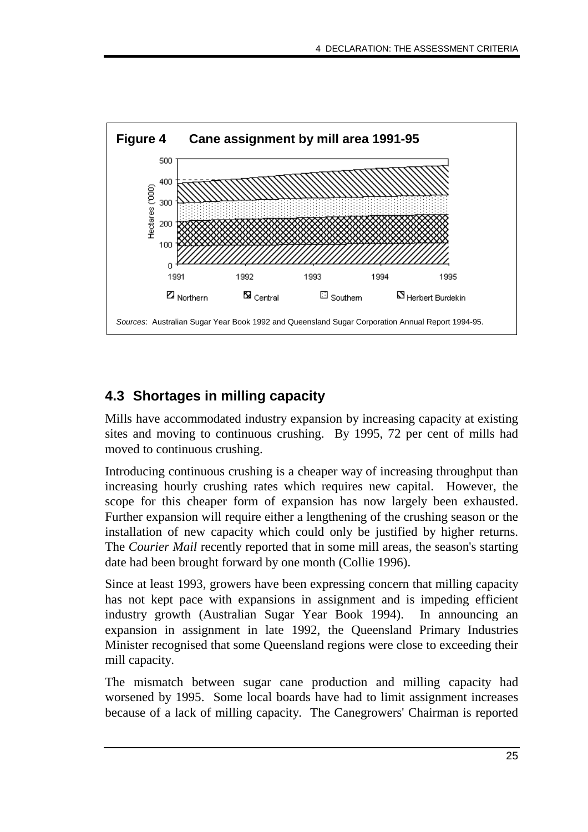

# **4.3 Shortages in milling capacity**

Mills have accommodated industry expansion by increasing capacity at existing sites and moving to continuous crushing. By 1995, 72 per cent of mills had moved to continuous crushing.

Introducing continuous crushing is a cheaper way of increasing throughput than increasing hourly crushing rates which requires new capital. However, the scope for this cheaper form of expansion has now largely been exhausted. Further expansion will require either a lengthening of the crushing season or the installation of new capacity which could only be justified by higher returns. The *Courier Mail* recently reported that in some mill areas, the season's starting date had been brought forward by one month (Collie 1996).

Since at least 1993, growers have been expressing concern that milling capacity has not kept pace with expansions in assignment and is impeding efficient industry growth (Australian Sugar Year Book 1994). In announcing an expansion in assignment in late 1992, the Queensland Primary Industries Minister recognised that some Queensland regions were close to exceeding their mill capacity.

The mismatch between sugar cane production and milling capacity had worsened by 1995. Some local boards have had to limit assignment increases because of a lack of milling capacity. The Canegrowers' Chairman is reported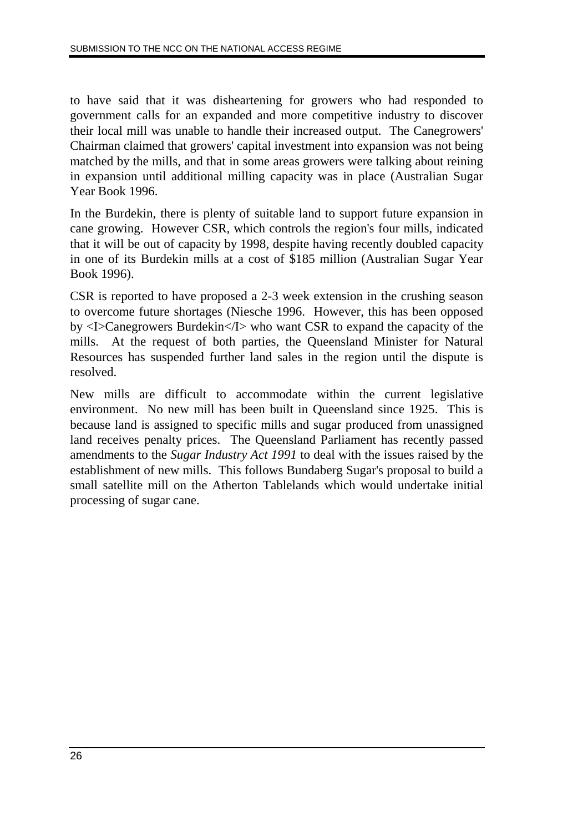to have said that it was disheartening for growers who had responded to government calls for an expanded and more competitive industry to discover their local mill was unable to handle their increased output. The Canegrowers' Chairman claimed that growers' capital investment into expansion was not being matched by the mills, and that in some areas growers were talking about reining in expansion until additional milling capacity was in place (Australian Sugar Year Book 1996.

In the Burdekin, there is plenty of suitable land to support future expansion in cane growing. However CSR, which controls the region's four mills, indicated that it will be out of capacity by 1998, despite having recently doubled capacity in one of its Burdekin mills at a cost of \$185 million (Australian Sugar Year Book 1996).

CSR is reported to have proposed a 2-3 week extension in the crushing season to overcome future shortages (Niesche 1996. However, this has been opposed by <I>Canegrowers Burdekin</I> who want CSR to expand the capacity of the mills. At the request of both parties, the Queensland Minister for Natural Resources has suspended further land sales in the region until the dispute is resolved.

New mills are difficult to accommodate within the current legislative environment. No new mill has been built in Queensland since 1925. This is because land is assigned to specific mills and sugar produced from unassigned land receives penalty prices. The Queensland Parliament has recently passed amendments to the *Sugar Industry Act 1991* to deal with the issues raised by the establishment of new mills. This follows Bundaberg Sugar's proposal to build a small satellite mill on the Atherton Tablelands which would undertake initial processing of sugar cane.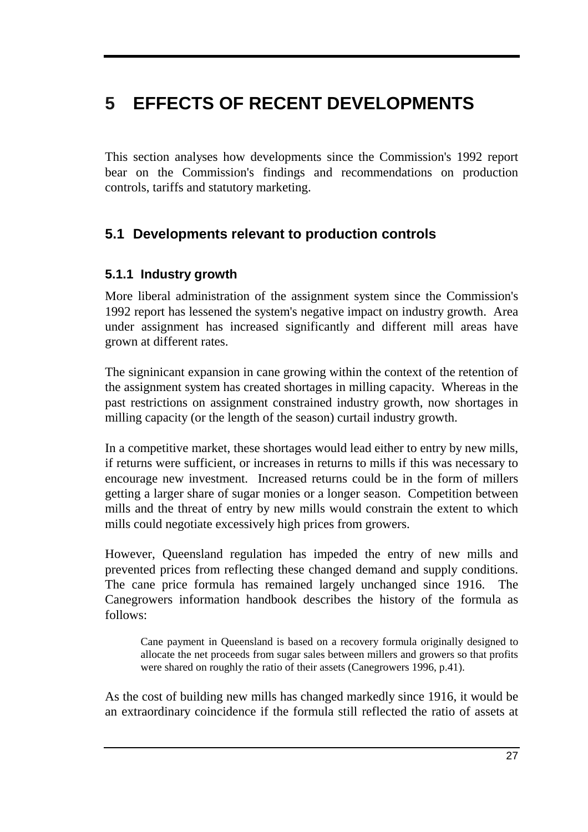# **5 EFFECTS OF RECENT DEVELOPMENTS**

This section analyses how developments since the Commission's 1992 report bear on the Commission's findings and recommendations on production controls, tariffs and statutory marketing.

### **5.1 Developments relevant to production controls**

### **5.1.1 Industry growth**

More liberal administration of the assignment system since the Commission's 1992 report has lessened the system's negative impact on industry growth. Area under assignment has increased significantly and different mill areas have grown at different rates.

The signinicant expansion in cane growing within the context of the retention of the assignment system has created shortages in milling capacity. Whereas in the past restrictions on assignment constrained industry growth, now shortages in milling capacity (or the length of the season) curtail industry growth.

In a competitive market, these shortages would lead either to entry by new mills, if returns were sufficient, or increases in returns to mills if this was necessary to encourage new investment. Increased returns could be in the form of millers getting a larger share of sugar monies or a longer season. Competition between mills and the threat of entry by new mills would constrain the extent to which mills could negotiate excessively high prices from growers.

However, Queensland regulation has impeded the entry of new mills and prevented prices from reflecting these changed demand and supply conditions. The cane price formula has remained largely unchanged since 1916. The Canegrowers information handbook describes the history of the formula as follows:

Cane payment in Queensland is based on a recovery formula originally designed to allocate the net proceeds from sugar sales between millers and growers so that profits were shared on roughly the ratio of their assets (Canegrowers 1996, p.41).

As the cost of building new mills has changed markedly since 1916, it would be an extraordinary coincidence if the formula still reflected the ratio of assets at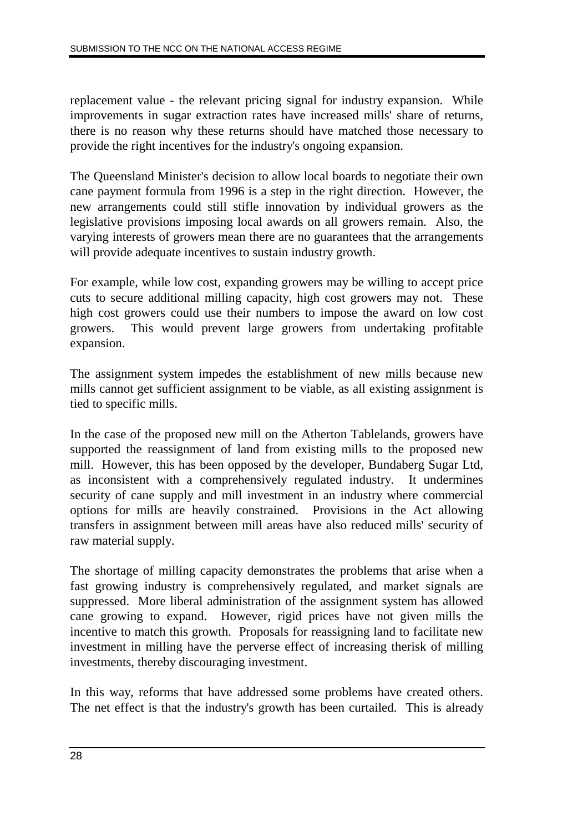replacement value - the relevant pricing signal for industry expansion. While improvements in sugar extraction rates have increased mills' share of returns, there is no reason why these returns should have matched those necessary to provide the right incentives for the industry's ongoing expansion.

The Queensland Minister's decision to allow local boards to negotiate their own cane payment formula from 1996 is a step in the right direction. However, the new arrangements could still stifle innovation by individual growers as the legislative provisions imposing local awards on all growers remain. Also, the varying interests of growers mean there are no guarantees that the arrangements will provide adequate incentives to sustain industry growth.

For example, while low cost, expanding growers may be willing to accept price cuts to secure additional milling capacity, high cost growers may not. These high cost growers could use their numbers to impose the award on low cost growers. This would prevent large growers from undertaking profitable expansion.

The assignment system impedes the establishment of new mills because new mills cannot get sufficient assignment to be viable, as all existing assignment is tied to specific mills.

In the case of the proposed new mill on the Atherton Tablelands, growers have supported the reassignment of land from existing mills to the proposed new mill. However, this has been opposed by the developer, Bundaberg Sugar Ltd, as inconsistent with a comprehensively regulated industry. It undermines security of cane supply and mill investment in an industry where commercial options for mills are heavily constrained. Provisions in the Act allowing transfers in assignment between mill areas have also reduced mills' security of raw material supply.

The shortage of milling capacity demonstrates the problems that arise when a fast growing industry is comprehensively regulated, and market signals are suppressed. More liberal administration of the assignment system has allowed cane growing to expand. However, rigid prices have not given mills the incentive to match this growth. Proposals for reassigning land to facilitate new investment in milling have the perverse effect of increasing therisk of milling investments, thereby discouraging investment.

In this way, reforms that have addressed some problems have created others. The net effect is that the industry's growth has been curtailed. This is already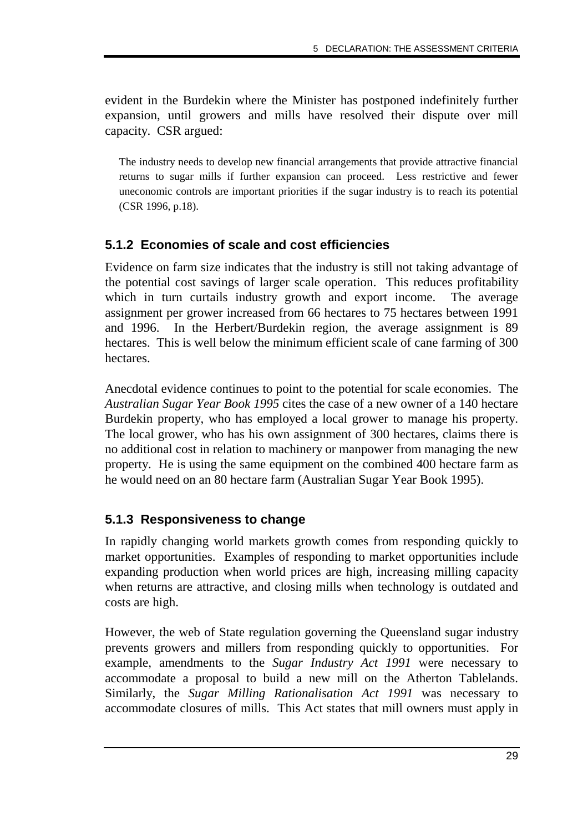evident in the Burdekin where the Minister has postponed indefinitely further expansion, until growers and mills have resolved their dispute over mill capacity. CSR argued:

The industry needs to develop new financial arrangements that provide attractive financial returns to sugar mills if further expansion can proceed. Less restrictive and fewer uneconomic controls are important priorities if the sugar industry is to reach its potential (CSR 1996, p.18).

### **5.1.2 Economies of scale and cost efficiencies**

Evidence on farm size indicates that the industry is still not taking advantage of the potential cost savings of larger scale operation. This reduces profitability which in turn curtails industry growth and export income. The average assignment per grower increased from 66 hectares to 75 hectares between 1991 and 1996. In the Herbert/Burdekin region, the average assignment is 89 hectares. This is well below the minimum efficient scale of cane farming of 300 hectares.

Anecdotal evidence continues to point to the potential for scale economies. The *Australian Sugar Year Book 1995* cites the case of a new owner of a 140 hectare Burdekin property, who has employed a local grower to manage his property. The local grower, who has his own assignment of 300 hectares, claims there is no additional cost in relation to machinery or manpower from managing the new property. He is using the same equipment on the combined 400 hectare farm as he would need on an 80 hectare farm (Australian Sugar Year Book 1995).

### **5.1.3 Responsiveness to change**

In rapidly changing world markets growth comes from responding quickly to market opportunities. Examples of responding to market opportunities include expanding production when world prices are high, increasing milling capacity when returns are attractive, and closing mills when technology is outdated and costs are high.

However, the web of State regulation governing the Queensland sugar industry prevents growers and millers from responding quickly to opportunities. For example, amendments to the *Sugar Industry Act 1991* were necessary to accommodate a proposal to build a new mill on the Atherton Tablelands. Similarly, the *Sugar Milling Rationalisation Act 1991* was necessary to accommodate closures of mills. This Act states that mill owners must apply in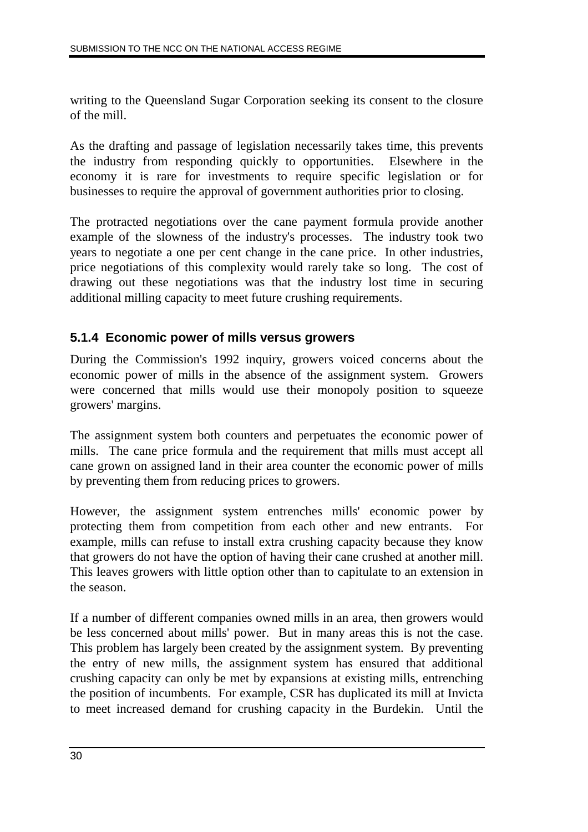writing to the Queensland Sugar Corporation seeking its consent to the closure of the mill.

As the drafting and passage of legislation necessarily takes time, this prevents the industry from responding quickly to opportunities. Elsewhere in the economy it is rare for investments to require specific legislation or for businesses to require the approval of government authorities prior to closing.

The protracted negotiations over the cane payment formula provide another example of the slowness of the industry's processes. The industry took two years to negotiate a one per cent change in the cane price. In other industries, price negotiations of this complexity would rarely take so long. The cost of drawing out these negotiations was that the industry lost time in securing additional milling capacity to meet future crushing requirements.

### **5.1.4 Economic power of mills versus growers**

During the Commission's 1992 inquiry, growers voiced concerns about the economic power of mills in the absence of the assignment system. Growers were concerned that mills would use their monopoly position to squeeze growers' margins.

The assignment system both counters and perpetuates the economic power of mills. The cane price formula and the requirement that mills must accept all cane grown on assigned land in their area counter the economic power of mills by preventing them from reducing prices to growers.

However, the assignment system entrenches mills' economic power by protecting them from competition from each other and new entrants. For example, mills can refuse to install extra crushing capacity because they know that growers do not have the option of having their cane crushed at another mill. This leaves growers with little option other than to capitulate to an extension in the season.

If a number of different companies owned mills in an area, then growers would be less concerned about mills' power. But in many areas this is not the case. This problem has largely been created by the assignment system. By preventing the entry of new mills, the assignment system has ensured that additional crushing capacity can only be met by expansions at existing mills, entrenching the position of incumbents. For example, CSR has duplicated its mill at Invicta to meet increased demand for crushing capacity in the Burdekin. Until the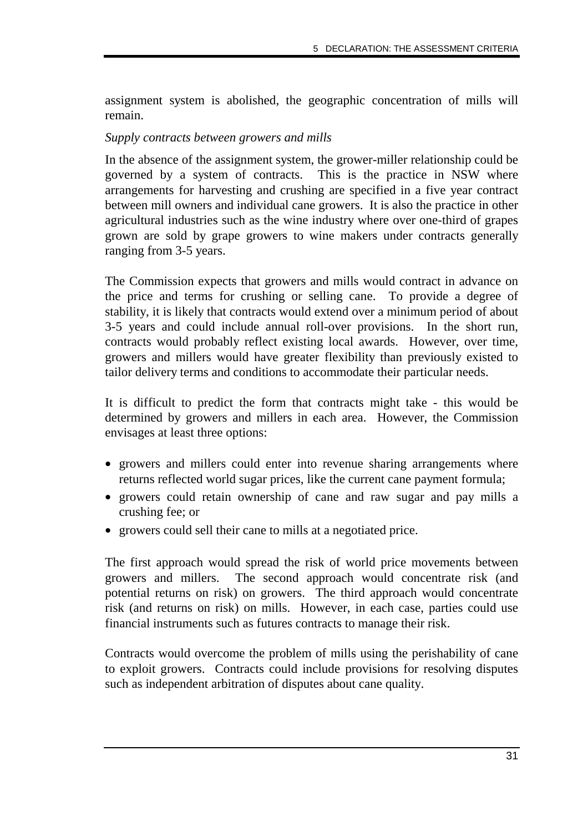assignment system is abolished, the geographic concentration of mills will remain.

#### *Supply contracts between growers and mills*

In the absence of the assignment system, the grower-miller relationship could be governed by a system of contracts. This is the practice in NSW where arrangements for harvesting and crushing are specified in a five year contract between mill owners and individual cane growers. It is also the practice in other agricultural industries such as the wine industry where over one-third of grapes grown are sold by grape growers to wine makers under contracts generally ranging from 3-5 years.

The Commission expects that growers and mills would contract in advance on the price and terms for crushing or selling cane. To provide a degree of stability, it is likely that contracts would extend over a minimum period of about 3-5 years and could include annual roll-over provisions. In the short run, contracts would probably reflect existing local awards. However, over time, growers and millers would have greater flexibility than previously existed to tailor delivery terms and conditions to accommodate their particular needs.

It is difficult to predict the form that contracts might take - this would be determined by growers and millers in each area. However, the Commission envisages at least three options:

- growers and millers could enter into revenue sharing arrangements where returns reflected world sugar prices, like the current cane payment formula;
- growers could retain ownership of cane and raw sugar and pay mills a crushing fee; or
- growers could sell their cane to mills at a negotiated price.

The first approach would spread the risk of world price movements between growers and millers. The second approach would concentrate risk (and potential returns on risk) on growers. The third approach would concentrate risk (and returns on risk) on mills. However, in each case, parties could use financial instruments such as futures contracts to manage their risk.

Contracts would overcome the problem of mills using the perishability of cane to exploit growers. Contracts could include provisions for resolving disputes such as independent arbitration of disputes about cane quality.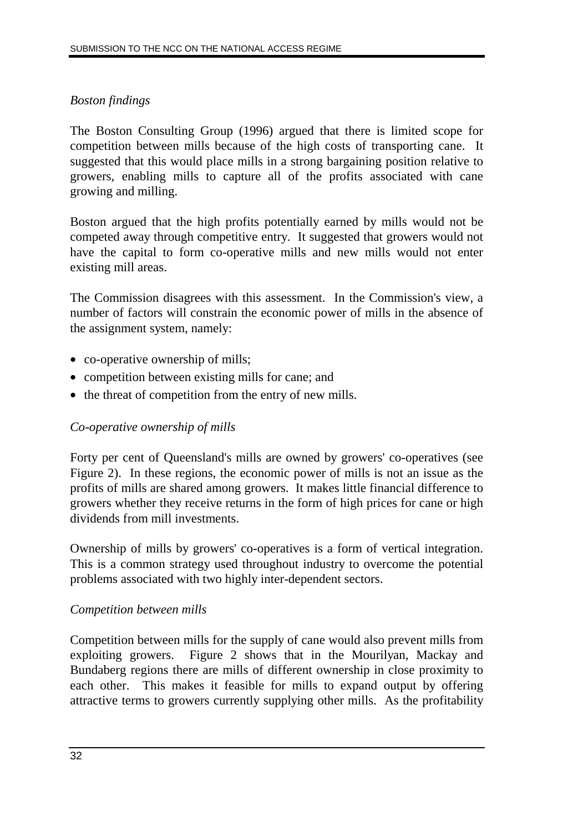### *Boston findings*

The Boston Consulting Group (1996) argued that there is limited scope for competition between mills because of the high costs of transporting cane. It suggested that this would place mills in a strong bargaining position relative to growers, enabling mills to capture all of the profits associated with cane growing and milling.

Boston argued that the high profits potentially earned by mills would not be competed away through competitive entry. It suggested that growers would not have the capital to form co-operative mills and new mills would not enter existing mill areas.

The Commission disagrees with this assessment. In the Commission's view, a number of factors will constrain the economic power of mills in the absence of the assignment system, namely:

- co-operative ownership of mills;
- competition between existing mills for cane; and
- the threat of competition from the entry of new mills.

### *Co-operative ownership of mills*

Forty per cent of Queensland's mills are owned by growers' co-operatives (see Figure 2). In these regions, the economic power of mills is not an issue as the profits of mills are shared among growers. It makes little financial difference to growers whether they receive returns in the form of high prices for cane or high dividends from mill investments.

Ownership of mills by growers' co-operatives is a form of vertical integration. This is a common strategy used throughout industry to overcome the potential problems associated with two highly inter-dependent sectors.

#### *Competition between mills*

Competition between mills for the supply of cane would also prevent mills from exploiting growers. Figure 2 shows that in the Mourilyan, Mackay and Bundaberg regions there are mills of different ownership in close proximity to each other. This makes it feasible for mills to expand output by offering attractive terms to growers currently supplying other mills. As the profitability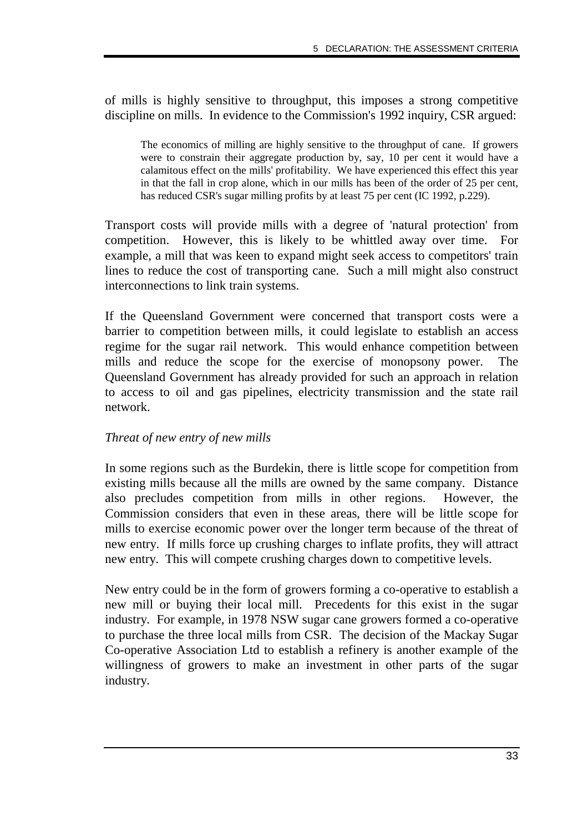of mills is highly sensitive to throughput, this imposes a strong competitive discipline on mills. In evidence to the Commission's 1992 inquiry, CSR argued:

The economics of milling are highly sensitive to the throughput of cane. If growers were to constrain their aggregate production by, say, 10 per cent it would have a calamitous effect on the mills' profitability. We have experienced this effect this year in that the fall in crop alone, which in our mills has been of the order of 25 per cent, has reduced CSR's sugar milling profits by at least 75 per cent (IC 1992, p.229).

Transport costs will provide mills with a degree of 'natural protection' from competition. However, this is likely to be whittled away over time. For example, a mill that was keen to expand might seek access to competitors' train lines to reduce the cost of transporting cane. Such a mill might also construct interconnections to link train systems.

If the Queensland Government were concerned that transport costs were a barrier to competition between mills, it could legislate to establish an access regime for the sugar rail network. This would enhance competition between mills and reduce the scope for the exercise of monopsony power. The Queensland Government has already provided for such an approach in relation to access to oil and gas pipelines, electricity transmission and the state rail network.

#### *Threat of new entry of new mills*

In some regions such as the Burdekin, there is little scope for competition from existing mills because all the mills are owned by the same company. Distance also precludes competition from mills in other regions. However, the Commission considers that even in these areas, there will be little scope for mills to exercise economic power over the longer term because of the threat of new entry. If mills force up crushing charges to inflate profits, they will attract new entry. This will compete crushing charges down to competitive levels.

New entry could be in the form of growers forming a co-operative to establish a new mill or buying their local mill. Precedents for this exist in the sugar industry. For example, in 1978 NSW sugar cane growers formed a co-operative to purchase the three local mills from CSR. The decision of the Mackay Sugar Co-operative Association Ltd to establish a refinery is another example of the willingness of growers to make an investment in other parts of the sugar industry.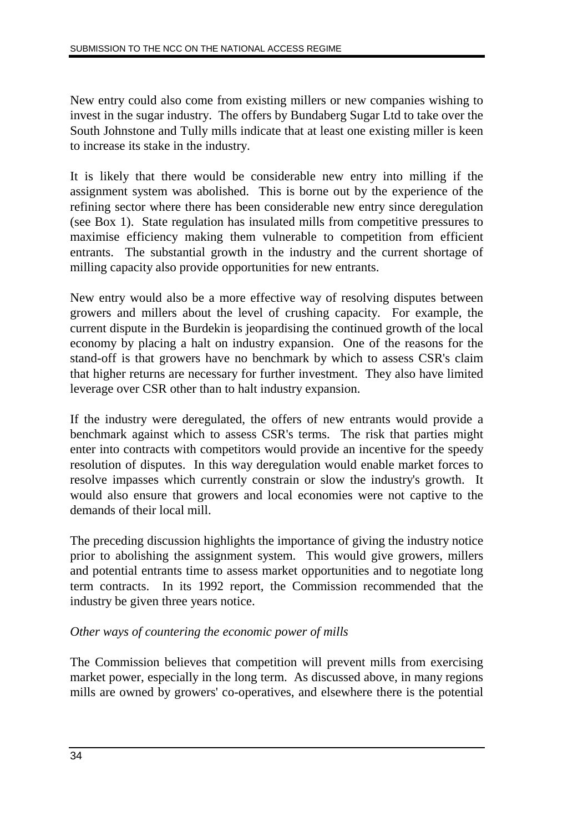New entry could also come from existing millers or new companies wishing to invest in the sugar industry. The offers by Bundaberg Sugar Ltd to take over the South Johnstone and Tully mills indicate that at least one existing miller is keen to increase its stake in the industry.

It is likely that there would be considerable new entry into milling if the assignment system was abolished. This is borne out by the experience of the refining sector where there has been considerable new entry since deregulation (see Box 1). State regulation has insulated mills from competitive pressures to maximise efficiency making them vulnerable to competition from efficient entrants. The substantial growth in the industry and the current shortage of milling capacity also provide opportunities for new entrants.

New entry would also be a more effective way of resolving disputes between growers and millers about the level of crushing capacity. For example, the current dispute in the Burdekin is jeopardising the continued growth of the local economy by placing a halt on industry expansion. One of the reasons for the stand-off is that growers have no benchmark by which to assess CSR's claim that higher returns are necessary for further investment. They also have limited leverage over CSR other than to halt industry expansion.

If the industry were deregulated, the offers of new entrants would provide a benchmark against which to assess CSR's terms. The risk that parties might enter into contracts with competitors would provide an incentive for the speedy resolution of disputes. In this way deregulation would enable market forces to resolve impasses which currently constrain or slow the industry's growth. It would also ensure that growers and local economies were not captive to the demands of their local mill.

The preceding discussion highlights the importance of giving the industry notice prior to abolishing the assignment system. This would give growers, millers and potential entrants time to assess market opportunities and to negotiate long term contracts. In its 1992 report, the Commission recommended that the industry be given three years notice.

### *Other ways of countering the economic power of mills*

The Commission believes that competition will prevent mills from exercising market power, especially in the long term. As discussed above, in many regions mills are owned by growers' co-operatives, and elsewhere there is the potential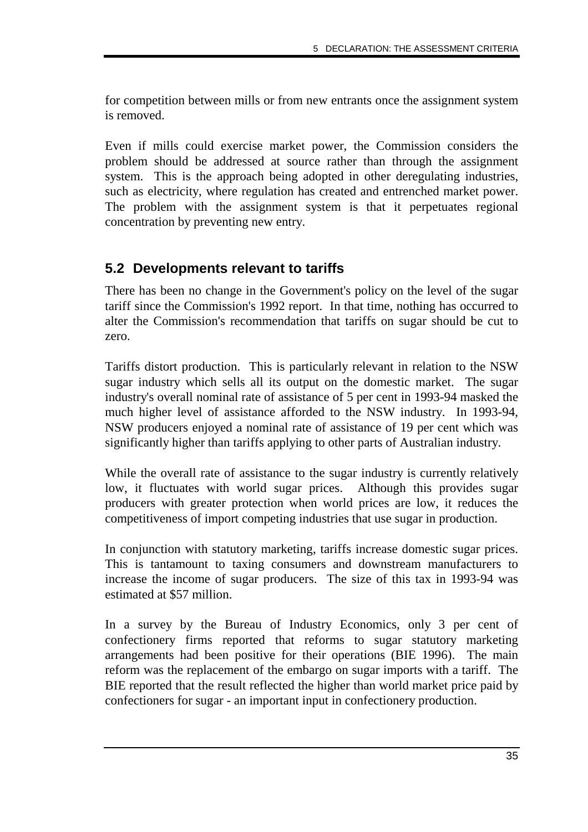for competition between mills or from new entrants once the assignment system is removed.

Even if mills could exercise market power, the Commission considers the problem should be addressed at source rather than through the assignment system. This is the approach being adopted in other deregulating industries, such as electricity, where regulation has created and entrenched market power. The problem with the assignment system is that it perpetuates regional concentration by preventing new entry.

### **5.2 Developments relevant to tariffs**

There has been no change in the Government's policy on the level of the sugar tariff since the Commission's 1992 report. In that time, nothing has occurred to alter the Commission's recommendation that tariffs on sugar should be cut to zero.

Tariffs distort production. This is particularly relevant in relation to the NSW sugar industry which sells all its output on the domestic market. The sugar industry's overall nominal rate of assistance of 5 per cent in 1993-94 masked the much higher level of assistance afforded to the NSW industry. In 1993-94, NSW producers enjoyed a nominal rate of assistance of 19 per cent which was significantly higher than tariffs applying to other parts of Australian industry.

While the overall rate of assistance to the sugar industry is currently relatively low, it fluctuates with world sugar prices. Although this provides sugar producers with greater protection when world prices are low, it reduces the competitiveness of import competing industries that use sugar in production.

In conjunction with statutory marketing, tariffs increase domestic sugar prices. This is tantamount to taxing consumers and downstream manufacturers to increase the income of sugar producers. The size of this tax in 1993-94 was estimated at \$57 million.

In a survey by the Bureau of Industry Economics, only 3 per cent of confectionery firms reported that reforms to sugar statutory marketing arrangements had been positive for their operations (BIE 1996). The main reform was the replacement of the embargo on sugar imports with a tariff. The BIE reported that the result reflected the higher than world market price paid by confectioners for sugar - an important input in confectionery production.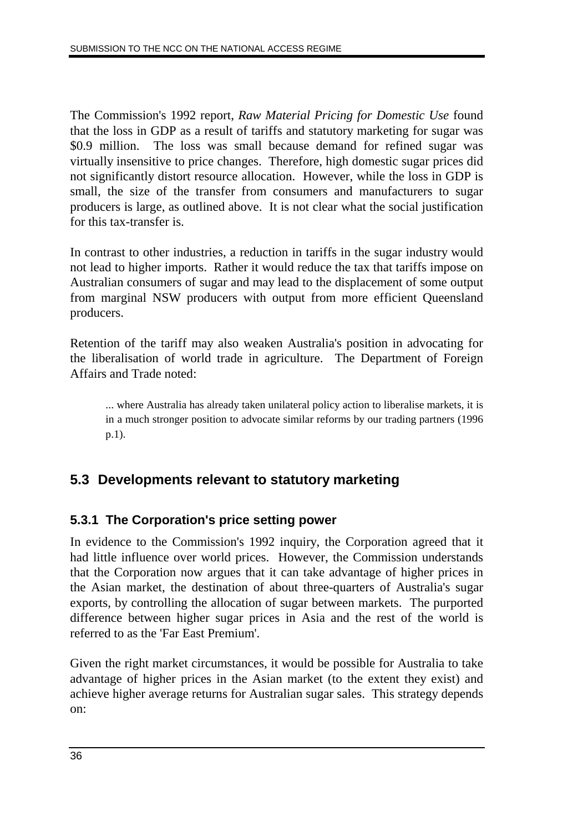The Commission's 1992 report, *Raw Material Pricing for Domestic Use* found that the loss in GDP as a result of tariffs and statutory marketing for sugar was \$0.9 million. The loss was small because demand for refined sugar was virtually insensitive to price changes. Therefore, high domestic sugar prices did not significantly distort resource allocation. However, while the loss in GDP is small, the size of the transfer from consumers and manufacturers to sugar producers is large, as outlined above. It is not clear what the social justification for this tax-transfer is.

In contrast to other industries, a reduction in tariffs in the sugar industry would not lead to higher imports. Rather it would reduce the tax that tariffs impose on Australian consumers of sugar and may lead to the displacement of some output from marginal NSW producers with output from more efficient Queensland producers.

Retention of the tariff may also weaken Australia's position in advocating for the liberalisation of world trade in agriculture. The Department of Foreign Affairs and Trade noted:

... where Australia has already taken unilateral policy action to liberalise markets, it is in a much stronger position to advocate similar reforms by our trading partners (1996 p.1).

### **5.3 Developments relevant to statutory marketing**

### **5.3.1 The Corporation's price setting power**

In evidence to the Commission's 1992 inquiry, the Corporation agreed that it had little influence over world prices. However, the Commission understands that the Corporation now argues that it can take advantage of higher prices in the Asian market, the destination of about three-quarters of Australia's sugar exports, by controlling the allocation of sugar between markets. The purported difference between higher sugar prices in Asia and the rest of the world is referred to as the 'Far East Premium'.

Given the right market circumstances, it would be possible for Australia to take advantage of higher prices in the Asian market (to the extent they exist) and achieve higher average returns for Australian sugar sales. This strategy depends on: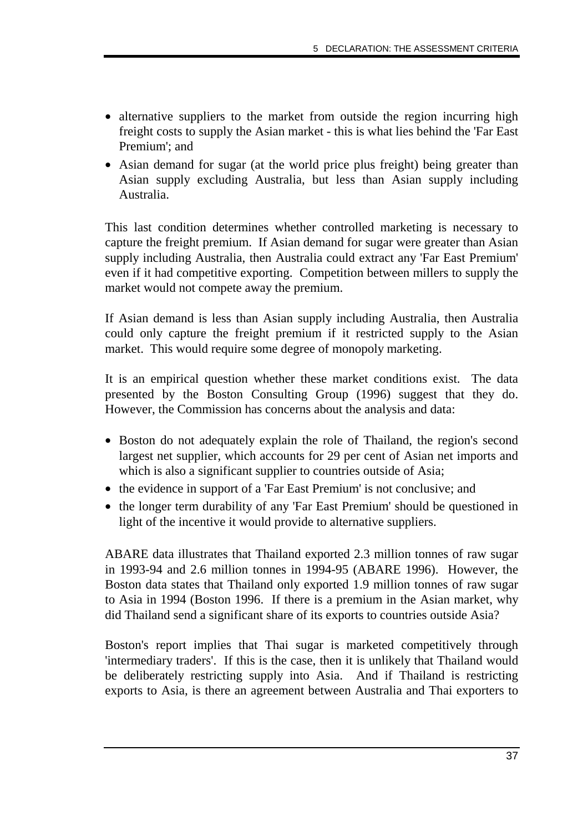- alternative suppliers to the market from outside the region incurring high freight costs to supply the Asian market - this is what lies behind the 'Far East Premium'; and
- Asian demand for sugar (at the world price plus freight) being greater than Asian supply excluding Australia, but less than Asian supply including Australia.

This last condition determines whether controlled marketing is necessary to capture the freight premium. If Asian demand for sugar were greater than Asian supply including Australia, then Australia could extract any 'Far East Premium' even if it had competitive exporting. Competition between millers to supply the market would not compete away the premium.

If Asian demand is less than Asian supply including Australia, then Australia could only capture the freight premium if it restricted supply to the Asian market. This would require some degree of monopoly marketing.

It is an empirical question whether these market conditions exist. The data presented by the Boston Consulting Group (1996) suggest that they do. However, the Commission has concerns about the analysis and data:

- Boston do not adequately explain the role of Thailand, the region's second largest net supplier, which accounts for 29 per cent of Asian net imports and which is also a significant supplier to countries outside of Asia;
- the evidence in support of a 'Far East Premium' is not conclusive; and
- the longer term durability of any 'Far East Premium' should be questioned in light of the incentive it would provide to alternative suppliers.

ABARE data illustrates that Thailand exported 2.3 million tonnes of raw sugar in 1993-94 and 2.6 million tonnes in 1994-95 (ABARE 1996). However, the Boston data states that Thailand only exported 1.9 million tonnes of raw sugar to Asia in 1994 (Boston 1996. If there is a premium in the Asian market, why did Thailand send a significant share of its exports to countries outside Asia?

Boston's report implies that Thai sugar is marketed competitively through 'intermediary traders'. If this is the case, then it is unlikely that Thailand would be deliberately restricting supply into Asia. And if Thailand is restricting exports to Asia, is there an agreement between Australia and Thai exporters to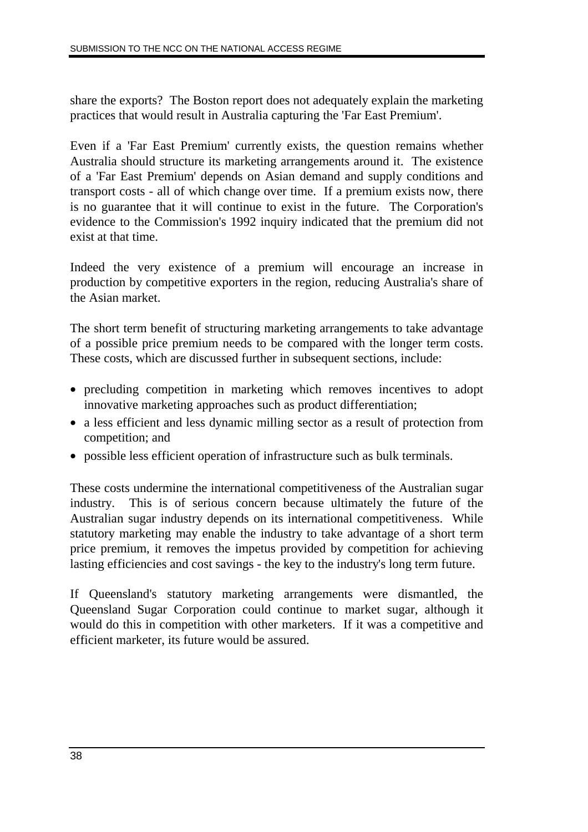share the exports? The Boston report does not adequately explain the marketing practices that would result in Australia capturing the 'Far East Premium'.

Even if a 'Far East Premium' currently exists, the question remains whether Australia should structure its marketing arrangements around it. The existence of a 'Far East Premium' depends on Asian demand and supply conditions and transport costs - all of which change over time. If a premium exists now, there is no guarantee that it will continue to exist in the future. The Corporation's evidence to the Commission's 1992 inquiry indicated that the premium did not exist at that time.

Indeed the very existence of a premium will encourage an increase in production by competitive exporters in the region, reducing Australia's share of the Asian market.

The short term benefit of structuring marketing arrangements to take advantage of a possible price premium needs to be compared with the longer term costs. These costs, which are discussed further in subsequent sections, include:

- precluding competition in marketing which removes incentives to adopt innovative marketing approaches such as product differentiation;
- a less efficient and less dynamic milling sector as a result of protection from competition; and
- possible less efficient operation of infrastructure such as bulk terminals.

These costs undermine the international competitiveness of the Australian sugar industry. This is of serious concern because ultimately the future of the Australian sugar industry depends on its international competitiveness. While statutory marketing may enable the industry to take advantage of a short term price premium, it removes the impetus provided by competition for achieving lasting efficiencies and cost savings - the key to the industry's long term future.

If Queensland's statutory marketing arrangements were dismantled, the Queensland Sugar Corporation could continue to market sugar, although it would do this in competition with other marketers. If it was a competitive and efficient marketer, its future would be assured.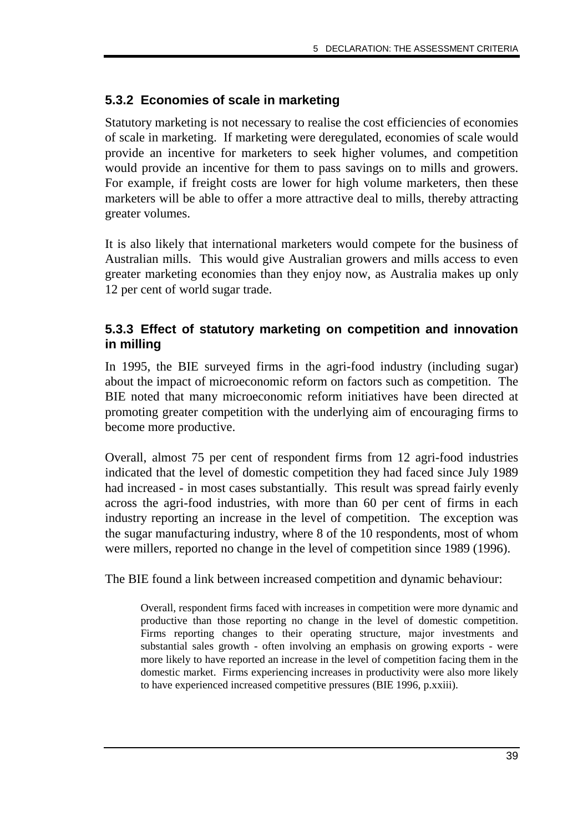### **5.3.2 Economies of scale in marketing**

Statutory marketing is not necessary to realise the cost efficiencies of economies of scale in marketing. If marketing were deregulated, economies of scale would provide an incentive for marketers to seek higher volumes, and competition would provide an incentive for them to pass savings on to mills and growers. For example, if freight costs are lower for high volume marketers, then these marketers will be able to offer a more attractive deal to mills, thereby attracting greater volumes.

It is also likely that international marketers would compete for the business of Australian mills. This would give Australian growers and mills access to even greater marketing economies than they enjoy now, as Australia makes up only 12 per cent of world sugar trade.

### **5.3.3 Effect of statutory marketing on competition and innovation in milling**

In 1995, the BIE surveyed firms in the agri-food industry (including sugar) about the impact of microeconomic reform on factors such as competition. The BIE noted that many microeconomic reform initiatives have been directed at promoting greater competition with the underlying aim of encouraging firms to become more productive.

Overall, almost 75 per cent of respondent firms from 12 agri-food industries indicated that the level of domestic competition they had faced since July 1989 had increased - in most cases substantially. This result was spread fairly evenly across the agri-food industries, with more than 60 per cent of firms in each industry reporting an increase in the level of competition. The exception was the sugar manufacturing industry, where 8 of the 10 respondents, most of whom were millers, reported no change in the level of competition since 1989 (1996).

The BIE found a link between increased competition and dynamic behaviour:

Overall, respondent firms faced with increases in competition were more dynamic and productive than those reporting no change in the level of domestic competition. Firms reporting changes to their operating structure, major investments and substantial sales growth - often involving an emphasis on growing exports - were more likely to have reported an increase in the level of competition facing them in the domestic market. Firms experiencing increases in productivity were also more likely to have experienced increased competitive pressures (BIE 1996, p.xxiii).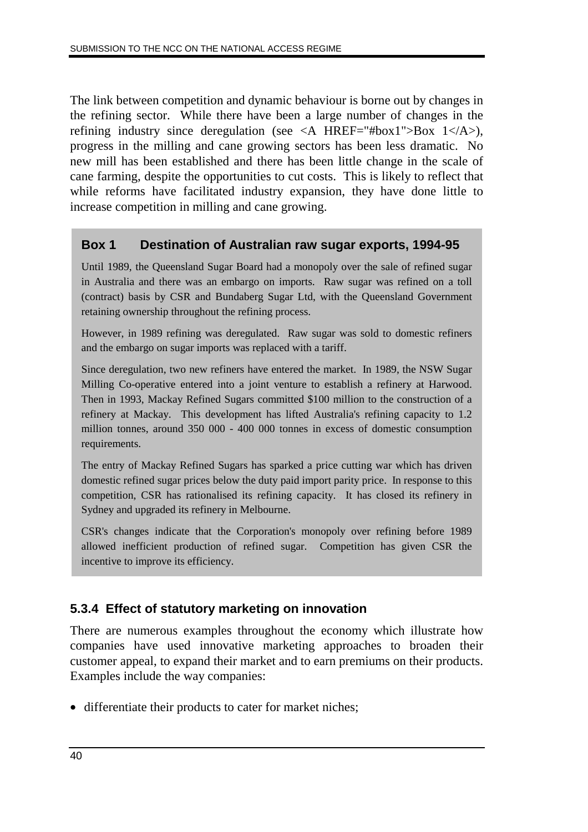The link between competition and dynamic behaviour is borne out by changes in the refining sector. While there have been a large number of changes in the refining industry since deregulation (see  $\langle A \rangle$  HREF="#box1">Box 1 $\langle A \rangle$ ), progress in the milling and cane growing sectors has been less dramatic. No new mill has been established and there has been little change in the scale of cane farming, despite the opportunities to cut costs. This is likely to reflect that while reforms have facilitated industry expansion, they have done little to increase competition in milling and cane growing.

### **Box 1 Destination of Australian raw sugar exports, 1994-95**

Until 1989, the Queensland Sugar Board had a monopoly over the sale of refined sugar in Australia and there was an embargo on imports. Raw sugar was refined on a toll (contract) basis by CSR and Bundaberg Sugar Ltd, with the Queensland Government retaining ownership throughout the refining process.

However, in 1989 refining was deregulated. Raw sugar was sold to domestic refiners and the embargo on sugar imports was replaced with a tariff.

Since deregulation, two new refiners have entered the market. In 1989, the NSW Sugar Milling Co-operative entered into a joint venture to establish a refinery at Harwood. Then in 1993, Mackay Refined Sugars committed \$100 million to the construction of a refinery at Mackay. This development has lifted Australia's refining capacity to 1.2 million tonnes, around 350 000 - 400 000 tonnes in excess of domestic consumption requirements.

The entry of Mackay Refined Sugars has sparked a price cutting war which has driven domestic refined sugar prices below the duty paid import parity price. In response to this competition, CSR has rationalised its refining capacity. It has closed its refinery in Sydney and upgraded its refinery in Melbourne.

CSR's changes indicate that the Corporation's monopoly over refining before 1989 allowed inefficient production of refined sugar. Competition has given CSR the incentive to improve its efficiency.

### **5.3.4 Effect of statutory marketing on innovation**

There are numerous examples throughout the economy which illustrate how companies have used innovative marketing approaches to broaden their customer appeal, to expand their market and to earn premiums on their products. Examples include the way companies:

• differentiate their products to cater for market niches;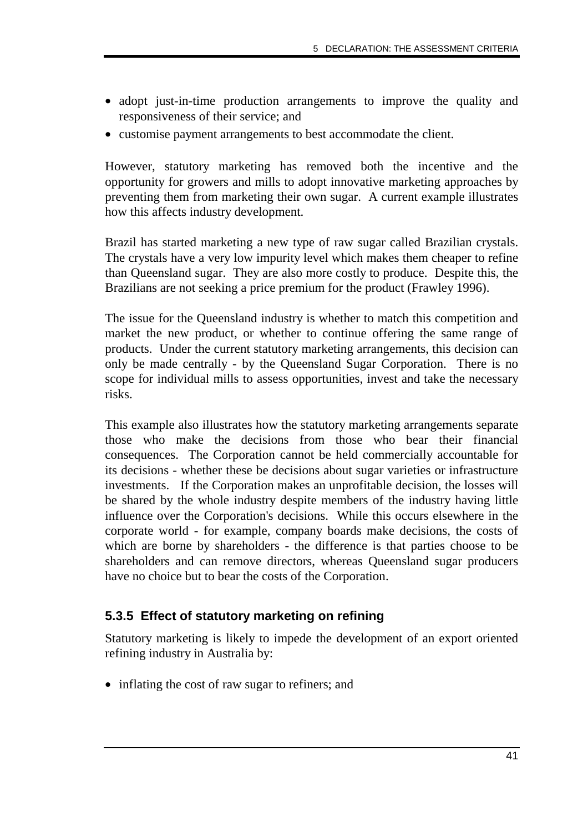- adopt just-in-time production arrangements to improve the quality and responsiveness of their service; and
- customise payment arrangements to best accommodate the client.

However, statutory marketing has removed both the incentive and the opportunity for growers and mills to adopt innovative marketing approaches by preventing them from marketing their own sugar. A current example illustrates how this affects industry development.

Brazil has started marketing a new type of raw sugar called Brazilian crystals. The crystals have a very low impurity level which makes them cheaper to refine than Queensland sugar. They are also more costly to produce. Despite this, the Brazilians are not seeking a price premium for the product (Frawley 1996).

The issue for the Queensland industry is whether to match this competition and market the new product, or whether to continue offering the same range of products. Under the current statutory marketing arrangements, this decision can only be made centrally - by the Queensland Sugar Corporation. There is no scope for individual mills to assess opportunities, invest and take the necessary risks.

This example also illustrates how the statutory marketing arrangements separate those who make the decisions from those who bear their financial consequences. The Corporation cannot be held commercially accountable for its decisions - whether these be decisions about sugar varieties or infrastructure investments. If the Corporation makes an unprofitable decision, the losses will be shared by the whole industry despite members of the industry having little influence over the Corporation's decisions. While this occurs elsewhere in the corporate world - for example, company boards make decisions, the costs of which are borne by shareholders - the difference is that parties choose to be shareholders and can remove directors, whereas Queensland sugar producers have no choice but to bear the costs of the Corporation.

### **5.3.5 Effect of statutory marketing on refining**

Statutory marketing is likely to impede the development of an export oriented refining industry in Australia by:

• inflating the cost of raw sugar to refiners; and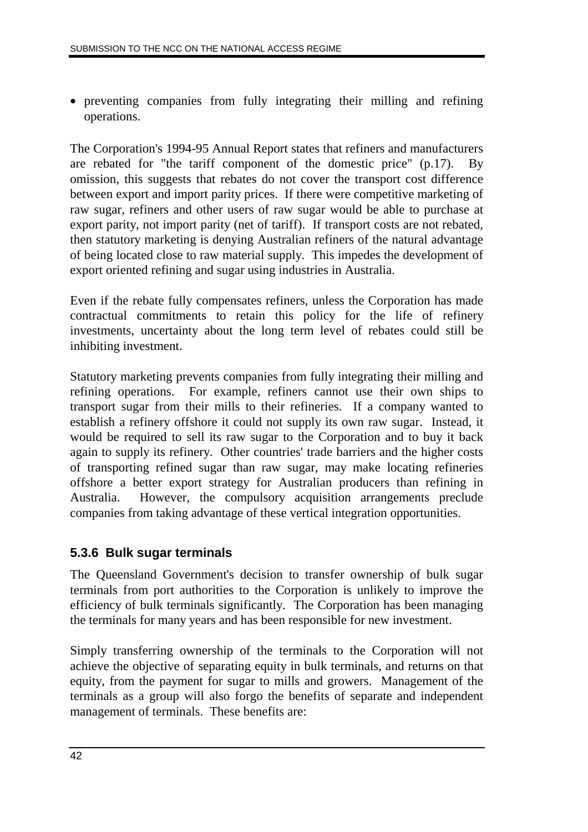• preventing companies from fully integrating their milling and refining operations.

The Corporation's 1994-95 Annual Report states that refiners and manufacturers are rebated for "the tariff component of the domestic price" (p.17). By omission, this suggests that rebates do not cover the transport cost difference between export and import parity prices. If there were competitive marketing of raw sugar, refiners and other users of raw sugar would be able to purchase at export parity, not import parity (net of tariff). If transport costs are not rebated, then statutory marketing is denying Australian refiners of the natural advantage of being located close to raw material supply. This impedes the development of export oriented refining and sugar using industries in Australia.

Even if the rebate fully compensates refiners, unless the Corporation has made contractual commitments to retain this policy for the life of refinery investments, uncertainty about the long term level of rebates could still be inhibiting investment.

Statutory marketing prevents companies from fully integrating their milling and refining operations. For example, refiners cannot use their own ships to transport sugar from their mills to their refineries. If a company wanted to establish a refinery offshore it could not supply its own raw sugar. Instead, it would be required to sell its raw sugar to the Corporation and to buy it back again to supply its refinery. Other countries' trade barriers and the higher costs of transporting refined sugar than raw sugar, may make locating refineries offshore a better export strategy for Australian producers than refining in Australia. However, the compulsory acquisition arrangements preclude companies from taking advantage of these vertical integration opportunities.

### **5.3.6 Bulk sugar terminals**

The Queensland Government's decision to transfer ownership of bulk sugar terminals from port authorities to the Corporation is unlikely to improve the efficiency of bulk terminals significantly. The Corporation has been managing the terminals for many years and has been responsible for new investment.

Simply transferring ownership of the terminals to the Corporation will not achieve the objective of separating equity in bulk terminals, and returns on that equity, from the payment for sugar to mills and growers. Management of the terminals as a group will also forgo the benefits of separate and independent management of terminals. These benefits are: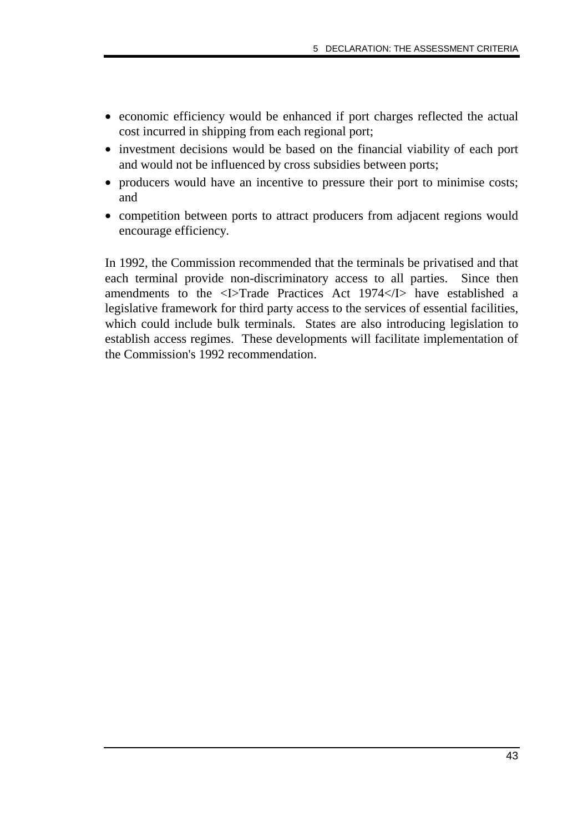- economic efficiency would be enhanced if port charges reflected the actual cost incurred in shipping from each regional port;
- investment decisions would be based on the financial viability of each port and would not be influenced by cross subsidies between ports;
- producers would have an incentive to pressure their port to minimise costs; and
- competition between ports to attract producers from adjacent regions would encourage efficiency.

In 1992, the Commission recommended that the terminals be privatised and that each terminal provide non-discriminatory access to all parties. Since then amendments to the <I>Trade Practices Act 1974</I> have established a legislative framework for third party access to the services of essential facilities, which could include bulk terminals. States are also introducing legislation to establish access regimes. These developments will facilitate implementation of the Commission's 1992 recommendation.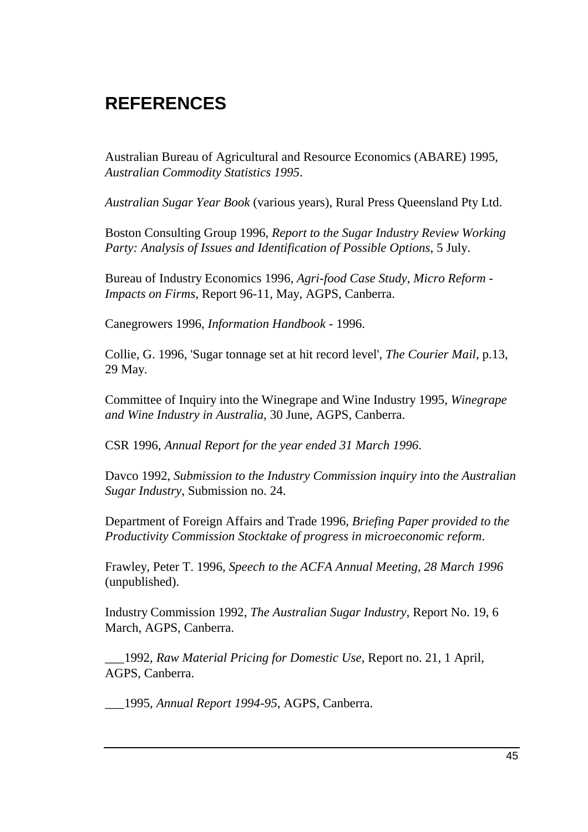# **REFERENCES**

Australian Bureau of Agricultural and Resource Economics (ABARE) 1995, *Australian Commodity Statistics 1995*.

*Australian Sugar Year Book* (various years), Rural Press Queensland Pty Ltd.

Boston Consulting Group 1996, *Report to the Sugar Industry Review Working Party: Analysis of Issues and Identification of Possible Options*, 5 July.

Bureau of Industry Economics 1996, *Agri-food Case Study, Micro Reform - Impacts on Firms*, Report 96-11, May, AGPS, Canberra.

Canegrowers 1996, *Information Handbook* - 1996.

Collie, G. 1996, 'Sugar tonnage set at hit record level', *The Courier Mail*, p.13, 29 May.

Committee of Inquiry into the Winegrape and Wine Industry 1995, *Winegrape and Wine Industry in Australia*, 30 June, AGPS, Canberra.

CSR 1996, *Annual Report for the year ended 31 March 1996*.

Davco 1992, *Submission to the Industry Commission inquiry into the Australian Sugar Industry*, Submission no. 24.

Department of Foreign Affairs and Trade 1996, *Briefing Paper provided to the Productivity Commission Stocktake of progress in microeconomic reform*.

Frawley, Peter T. 1996, *Speech to the ACFA Annual Meeting, 28 March 1996* (unpublished).

Industry Commission 1992, *The Australian Sugar Industry*, Report No. 19, 6 March, AGPS, Canberra.

\_\_\_1992, *Raw Material Pricing for Domestic Use*, Report no. 21, 1 April, AGPS, Canberra.

\_\_\_1995, *Annual Report 1994-95*, AGPS, Canberra.